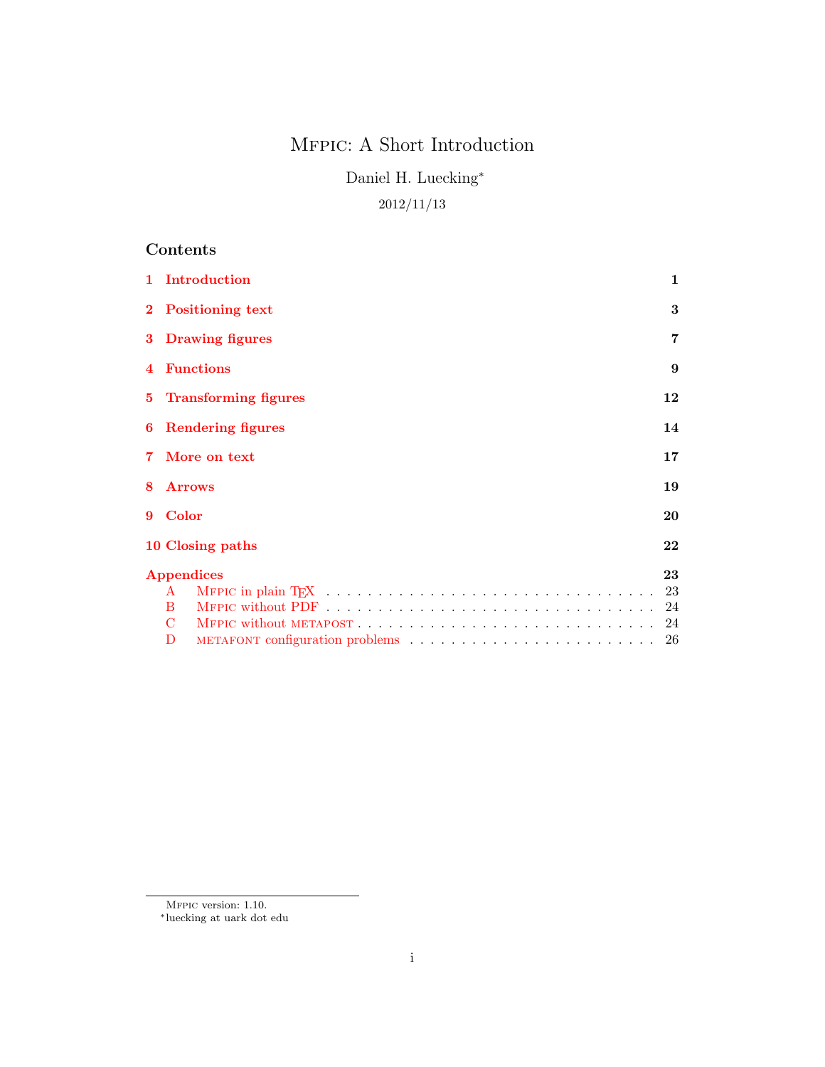# Mfpic: A Short Introduction

Daniel H. Luecking<sup>∗</sup>

# 2012/11/13

# Contents

|   | 1 Introduction             | $\mathbf{1}$ |
|---|----------------------------|--------------|
|   | 2 Positioning text         | 3            |
|   | 3 Drawing figures          | 7            |
|   | 4 Functions                | 9            |
|   | 5 Transforming figures     | 12           |
|   | <b>6</b> Rendering figures | 14           |
|   | 7 More on text             | 17           |
| 8 | <b>Arrows</b>              | 19           |
|   | 9 Color                    | 20           |
|   | 10 Closing paths           | 22           |
|   | 23<br>Appendices           |              |
|   | $\mathbf{A}$               | - 23         |
|   | B.                         | 24           |
|   | C                          |              |
|   | D                          |              |

MFPIC version: 1.10.

<sup>∗</sup>luecking at uark dot edu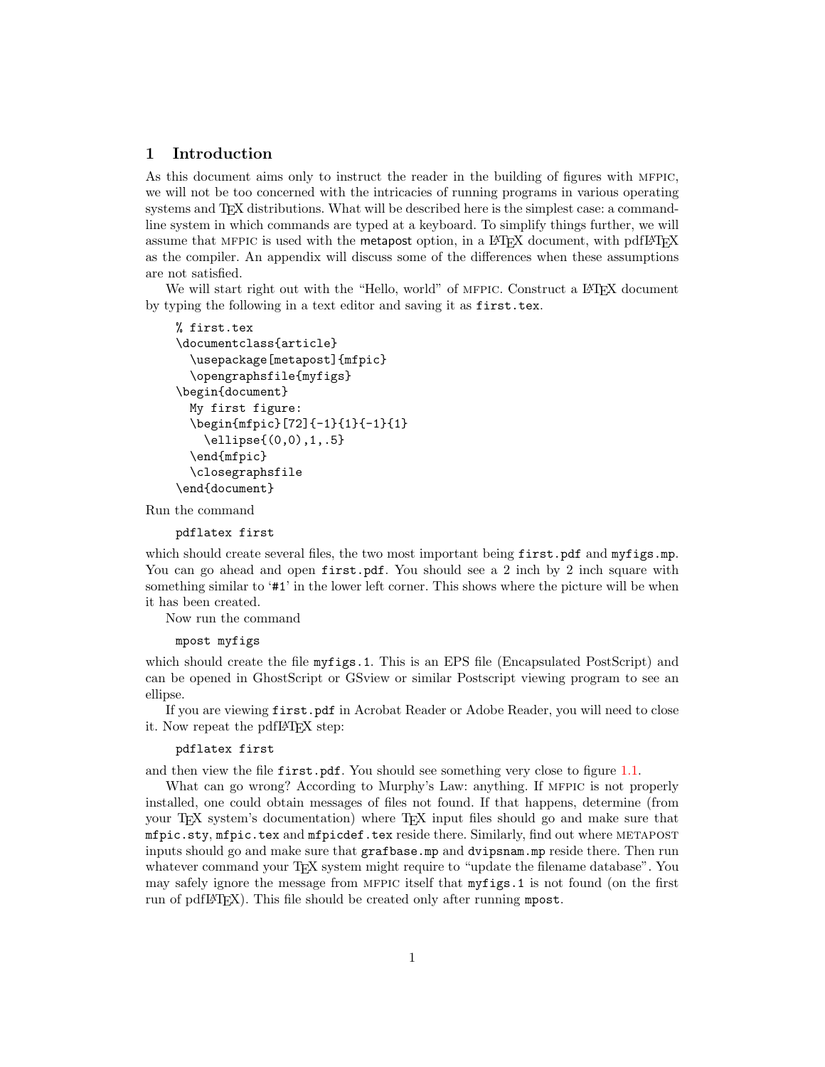## <span id="page-1-0"></span>1 Introduction

As this document aims only to instruct the reader in the building of figures with mfpic, we will not be too concerned with the intricacies of running programs in various operating systems and TFX distributions. What will be described here is the simplest case: a commandline system in which commands are typed at a keyboard. To simplify things further, we will assume that MFPIC is used with the metapost option, in a LATEX document, with pdfLATEX as the compiler. An appendix will discuss some of the differences when these assumptions are not satisfied.

We will start right out with the "Hello, world" of MFPIC. Construct a L<sup>AT</sup>EX document by typing the following in a text editor and saving it as first.tex.

```
% first.tex
\documentclass{article}
  \usepackage[metapost]{mfpic}
  \opengraphsfile{myfigs}
\begin{document}
  My first figure:
  \begin{mfpic}[72]{-1}{1}{-1}{1}
    \ellipse{(0,0),1,.5}
  \end{mfpic}
  \closegraphsfile
\end{document}
```
Run the command

pdflatex first

which should create several files, the two most important being first.pdf and myfigs.mp. You can go ahead and open first.pdf. You should see a 2 inch by 2 inch square with something similar to '#1' in the lower left corner. This shows where the picture will be when it has been created.

Now run the command

```
mpost myfigs
```
which should create the file myfigs.1. This is an EPS file (Encapsulated PostScript) and can be opened in GhostScript or GSview or similar Postscript viewing program to see an ellipse.

If you are viewing first.pdf in Acrobat Reader or Adobe Reader, you will need to close it. Now repeat the pdfIATFX step:

### pdflatex first

and then view the file first.pdf. You should see something very close to figure [1.1.](#page-2-0)

What can go wrong? According to Murphy's Law: anything. If MFPIC is not properly installed, one could obtain messages of files not found. If that happens, determine (from your TEX system's documentation) where TEX input files should go and make sure that mfpic.sty, mfpic.tex and mfpicdef.tex reside there. Similarly, find out where metapost inputs should go and make sure that grafbase.mp and dvipsnam.mp reside there. Then run whatever command your T<sub>EX</sub> system might require to "update the filename database". You may safely ignore the message from MFPIC itself that  $myfigs.1$  is not found (on the first run of pdfL<sup>A</sup>T<sub>F</sub>X). This file should be created only after running mpost.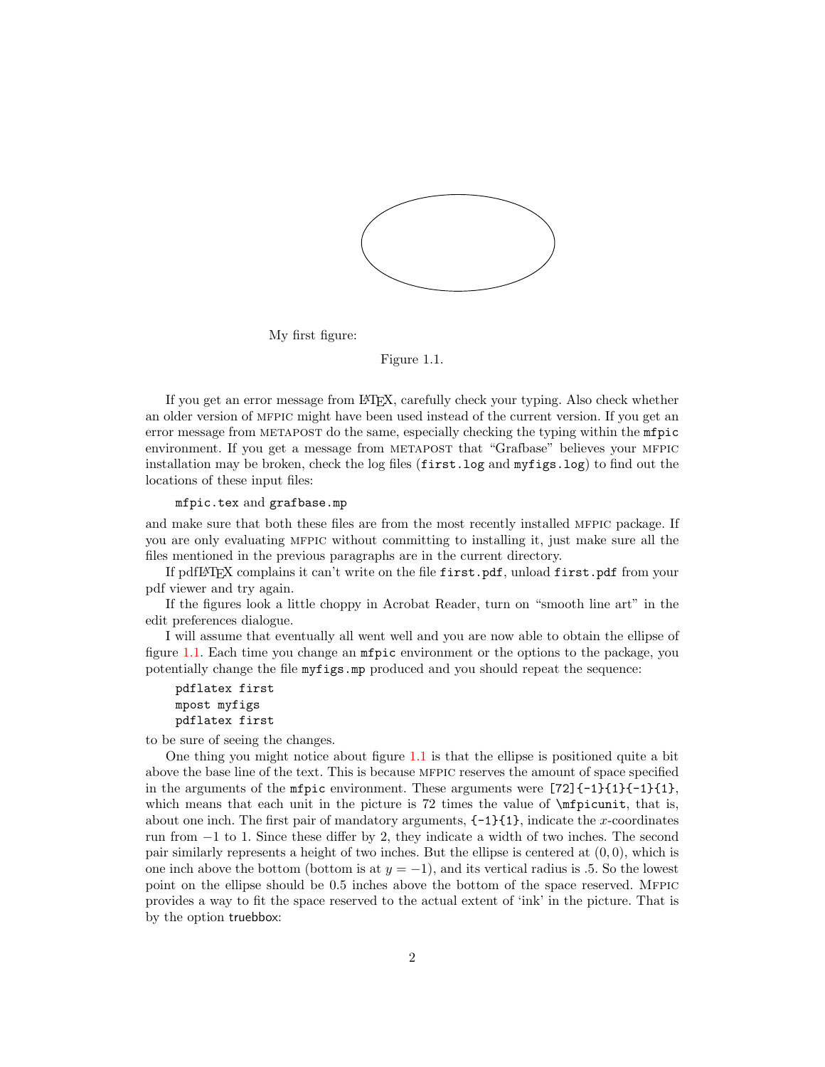<span id="page-2-0"></span>

My first figure:

Figure 1.1.

If you get an error message from LATEX, carefully check your typing. Also check whether an older version of mfpic might have been used instead of the current version. If you get an error message from METAPOST do the same, especially checking the typing within the **mfpic** environment. If you get a message from METAPOST that "Grafbase" believes your MFPIC installation may be broken, check the log files (first.log and myfigs.log) to find out the locations of these input files:

### mfpic.tex and grafbase.mp

and make sure that both these files are from the most recently installed mfpic package. If you are only evaluating mfpic without committing to installing it, just make sure all the files mentioned in the previous paragraphs are in the current directory.

If pdfLATEX complains it can't write on the file first.pdf, unload first.pdf from your pdf viewer and try again.

If the figures look a little choppy in Acrobat Reader, turn on "smooth line art" in the edit preferences dialogue.

I will assume that eventually all went well and you are now able to obtain the ellipse of figure [1.1.](#page-2-0) Each time you change an mfpic environment or the options to the package, you potentially change the file myfigs.mp produced and you should repeat the sequence:

```
pdflatex first
mpost myfigs
pdflatex first
```
to be sure of seeing the changes.

One thing you might notice about figure [1.1](#page-2-0) is that the ellipse is positioned quite a bit above the base line of the text. This is because mfpic reserves the amount of space specified in the arguments of the **mfpic** environment. These arguments were  $[72]\{-1}{1}{1}-1$ which means that each unit in the picture is  $72$  times the value of  $\mathcal{I}$  infinition it, that is, about one inch. The first pair of mandatory arguments,  $\{-1\}$ {1}, indicate the x-coordinates run from −1 to 1. Since these differ by 2, they indicate a width of two inches. The second pair similarly represents a height of two inches. But the ellipse is centered at  $(0, 0)$ , which is one inch above the bottom (bottom is at  $y = -1$ ), and its vertical radius is .5. So the lowest point on the ellipse should be 0.5 inches above the bottom of the space reserved. Mfpic provides a way to fit the space reserved to the actual extent of 'ink' in the picture. That is by the option truebbox: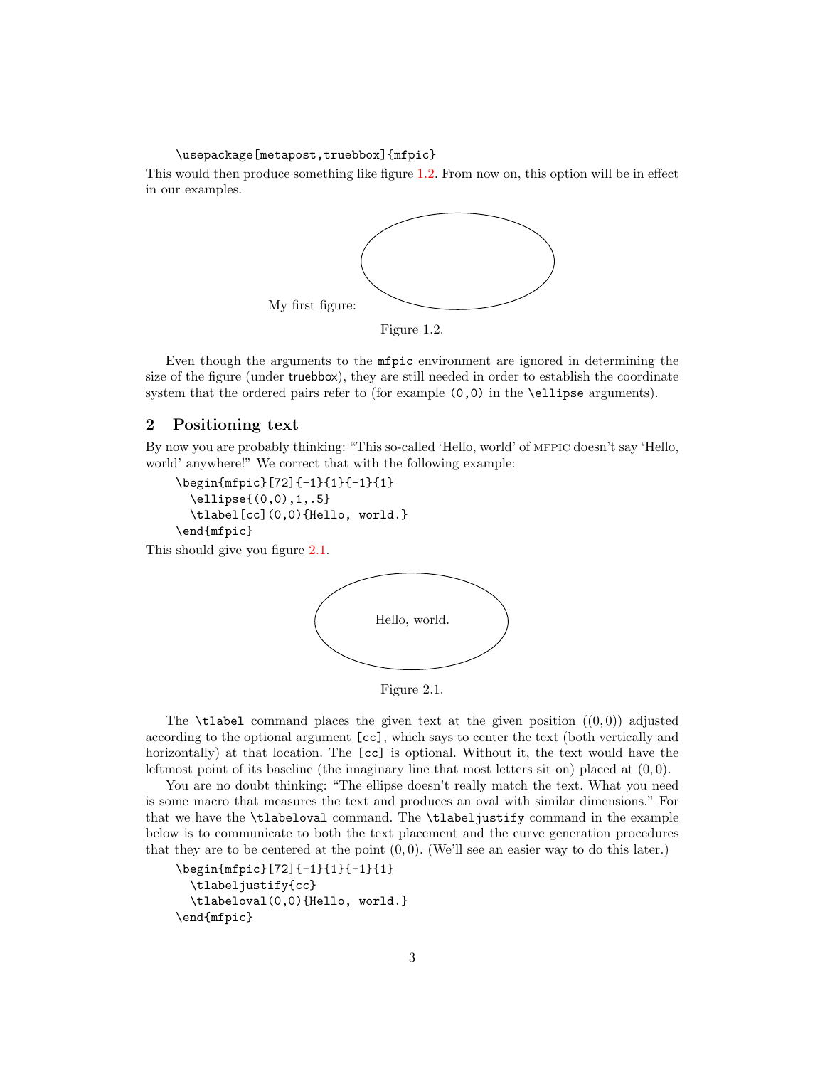\usepackage[metapost,truebbox]{mfpic}

<span id="page-3-1"></span>This would then produce something like figure [1.2.](#page-3-1) From now on, this option will be in effect in our examples.



Figure 1.2.

Even though the arguments to the mfpic environment are ignored in determining the size of the figure (under truebbox), they are still needed in order to establish the coordinate system that the ordered pairs refer to (for example  $(0,0)$  in the \ellipse arguments).

## <span id="page-3-0"></span>2 Positioning text

By now you are probably thinking: "This so-called 'Hello, world' of mfpic doesn't say 'Hello, world' anywhere!" We correct that with the following example:

\begin{mfpic}[72]{-1}{1}{-1}{1} \ellipse{(0,0),1,.5} \tlabel[cc](0,0){Hello, world.} \end{mfpic}

<span id="page-3-2"></span>This should give you figure [2.1.](#page-3-2)



Figure 2.1.

The **\tlabel** command places the given text at the given position  $((0,0))$  adjusted according to the optional argument [cc], which says to center the text (both vertically and horizontally) at that location. The [cc] is optional. Without it, the text would have the leftmost point of its baseline (the imaginary line that most letters sit on) placed at  $(0,0)$ .

You are no doubt thinking: "The ellipse doesn't really match the text. What you need is some macro that measures the text and produces an oval with similar dimensions." For that we have the \tlabeloval command. The \tlabeljustify command in the example below is to communicate to both the text placement and the curve generation procedures that they are to be centered at the point  $(0,0)$ . (We'll see an easier way to do this later.)

```
\begin{mfpic}[72]{-1}{1}{-1}{1}
  \tlabeljustify{cc}
  \tlabeloval(0,0){Hello, world.}
\end{mfpic}
```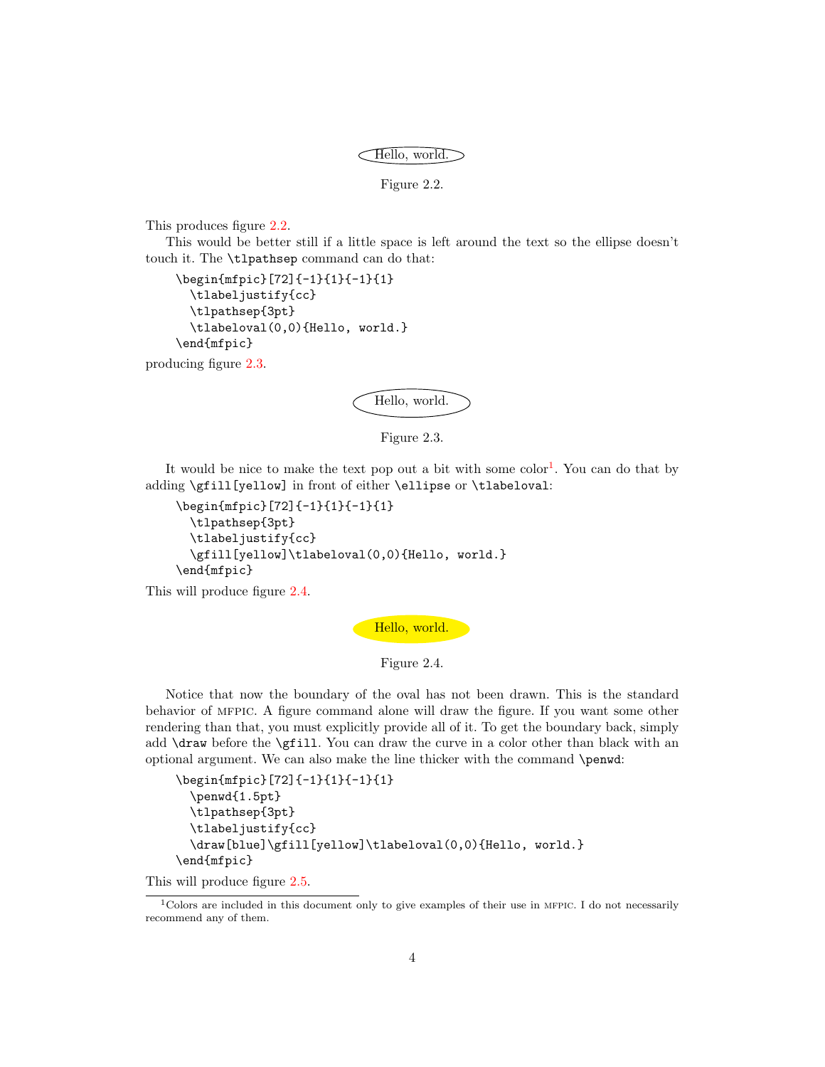Hello, world.

Figure 2.2.

<span id="page-4-0"></span>This produces figure [2.2.](#page-4-0)

This would be better still if a little space is left around the text so the ellipse doesn't touch it. The \tlpathsep command can do that:

```
\begin{mfpic}[72]{-1}{1}{-1}{1}
  \tlabeljustify{cc}
  \tlpathsep{3pt}
  \tlabeloval(0,0){Hello, world.}
\end{mfpic}
```
<span id="page-4-1"></span>producing figure [2.3.](#page-4-1)





It would be nice to make the text pop out a bit with some color<sup>[1](#page-4-2)</sup>. You can do that by adding \gfill[yellow] in front of either \ellipse or \tlabeloval:

```
\begin{mfpic}[72]{-1}{1}{-1}{1}
  \tlpathsep{3pt}
  \tlabeljustify{cc}
  \gfill[yellow]\tlabeloval(0,0){Hello, world.}
\end{mfpic}
```
<span id="page-4-3"></span>This will produce figure [2.4.](#page-4-3)





Notice that now the boundary of the oval has not been drawn. This is the standard behavior of mfpic. A figure command alone will draw the figure. If you want some other rendering than that, you must explicitly provide all of it. To get the boundary back, simply add \draw before the \gfill. You can draw the curve in a color other than black with an optional argument. We can also make the line thicker with the command \penwd:

```
\begin{mfpic}[72]{-1}{1}{-1}{1}
  \penwd{1.5pt}
  \tlpathsep{3pt}
  \tlabeljustify{cc}
 \draw[blue]\gfill[yellow]\tlabeloval(0,0){Hello, world.}
\end{mfpic}
```
This will produce figure [2.5.](#page-5-0)

<span id="page-4-2"></span> $1$ Colors are included in this document only to give examples of their use in MFPIC. I do not necessarily recommend any of them.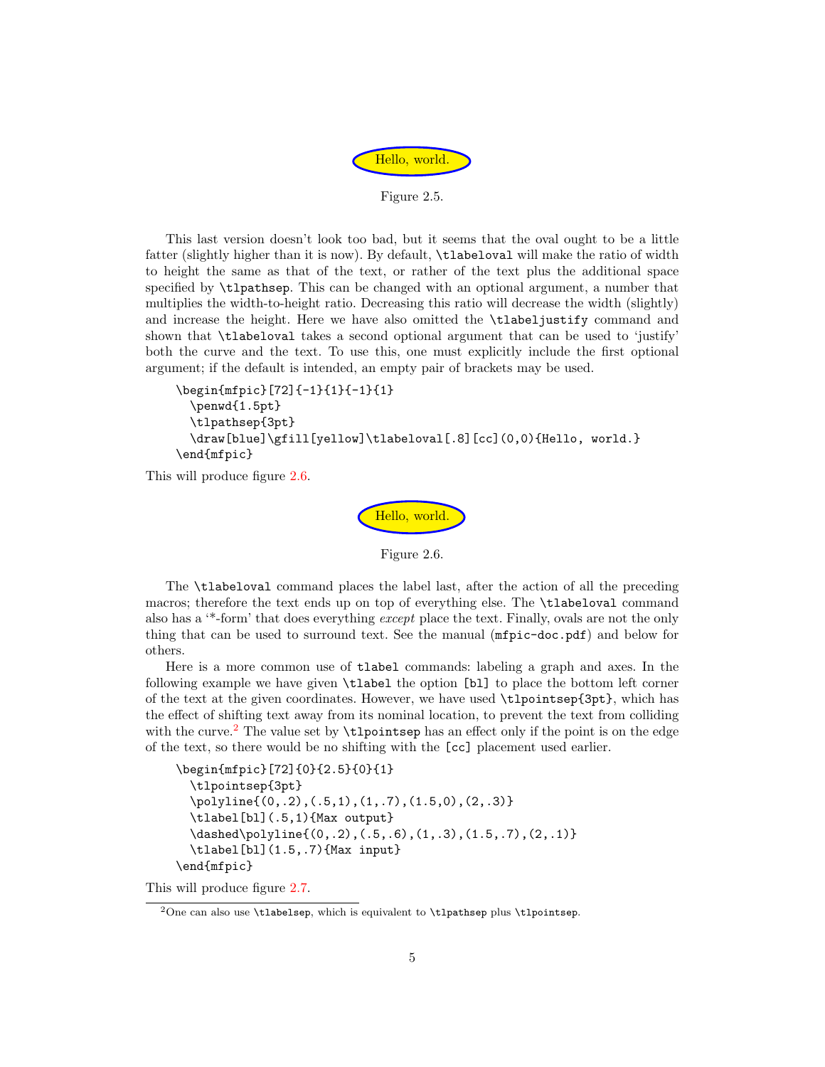

Figure 2.5.

<span id="page-5-0"></span>This last version doesn't look too bad, but it seems that the oval ought to be a little fatter (slightly higher than it is now). By default, \tlabeloval will make the ratio of width to height the same as that of the text, or rather of the text plus the additional space specified by \tlpathsep. This can be changed with an optional argument, a number that multiplies the width-to-height ratio. Decreasing this ratio will decrease the width (slightly) and increase the height. Here we have also omitted the \tlabeljustify command and shown that \tlabeloval takes a second optional argument that can be used to 'justify' both the curve and the text. To use this, one must explicitly include the first optional argument; if the default is intended, an empty pair of brackets may be used.

```
\begin{mfpic}[72]{-1}{1}{-1}{1}
  \penwd{1.5pt}
  \tlpathsep{3pt}
  \draw[blue]\gfill[yellow]\tlabeloval[.8][cc](0,0){Hello, world.}
\end{mfpic}
```
<span id="page-5-1"></span>This will produce figure [2.6.](#page-5-1)



Figure 2.6.

The \tlabeloval command places the label last, after the action of all the preceding macros; therefore the text ends up on top of everything else. The \tlabeloval command also has a '\*-form' that does everything except place the text. Finally, ovals are not the only thing that can be used to surround text. See the manual (mfpic-doc.pdf) and below for others.

Here is a more common use of tlabel commands: labeling a graph and axes. In the following example we have given \tlabel the option [bl] to place the bottom left corner of the text at the given coordinates. However, we have used \tlpointsep{3pt}, which has the effect of shifting text away from its nominal location, to prevent the text from colliding with the curve.<sup>[2](#page-5-2)</sup> The value set by  $\theta$  the pointsep has an effect only if the point is on the edge of the text, so there would be no shifting with the [cc] placement used earlier.

```
\begin{mfpic}[72]{0}{2.5}{0}{1}
  \tlpointsep{3pt}
  \polyline{(0,.2),(.5,1),(1,.7),(1.5,0),(2,.3)}
  \tlabel[bl](.5,1){Max output}
  \dashed\polyline{(0,.2),(.5,.6),(1,.3),(1.5,.7),(2,.1)}
  \tlabel[bl](1.5,.7){Max input}
\end{mfpic}
```
This will produce figure [2.7.](#page-6-0)

<span id="page-5-2"></span><sup>&</sup>lt;sup>2</sup>One can also use \tlabelsep, which is equivalent to \tlpathsep plus \tlpointsep.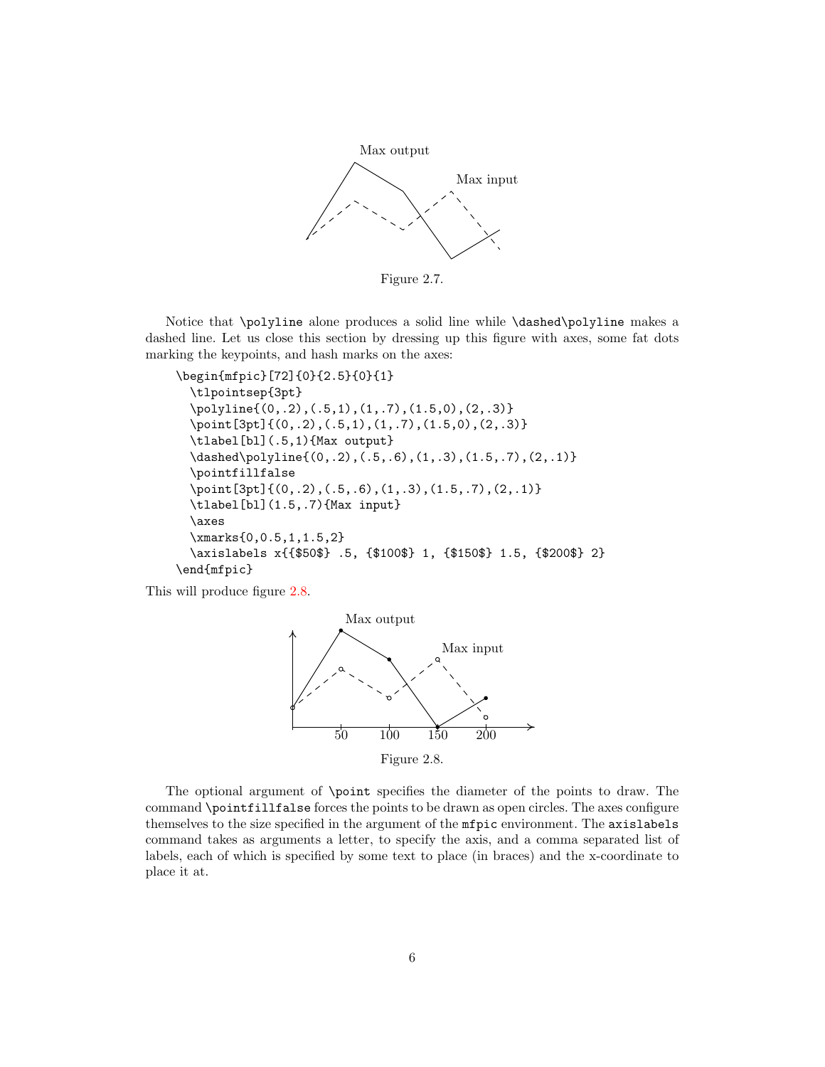<span id="page-6-0"></span>

Figure 2.7.

Notice that \polyline alone produces a solid line while \dashed\polyline makes a dashed line. Let us close this section by dressing up this figure with axes, some fat dots marking the keypoints, and hash marks on the axes:

```
\begin{mfpic}[72]{0}{2.5}{0}{1}
 \tlpointsep{3pt}
  \polyline{(0,.2),(.5,1),(1,.7),(1.5,0),(2,.3)}
  \point[3pt]{(0,.2),(.5,1),(1,.7),(1.5,0),(2,.3)}
  \tlabel[bl](.5,1){Max output}
  \dashed\polyline{(0,.2),(.5,.6),(1,.3),(1.5,.7),(2,.1)}
  \pointfillfalse
 \point[3pt]{(0,.2),(.5,.6),(1,.3),(1.5,.7),(2,.1)}
  \tlabel[bl](1.5,.7){Max input}
  \axes
 \xmarks{0,0.5,1,1.5,2}
  \axislabels x{{$50$} .5, {$100$} 1, {$150$} 1.5, {$200$} 2}
\end{mfpic}
```
<span id="page-6-1"></span>This will produce figure [2.8.](#page-6-1)



The optional argument of \point specifies the diameter of the points to draw. The command \pointfillfalse forces the points to be drawn as open circles. The axes configure themselves to the size specified in the argument of the mfpic environment. The axislabels command takes as arguments a letter, to specify the axis, and a comma separated list of labels, each of which is specified by some text to place (in braces) and the x-coordinate to place it at.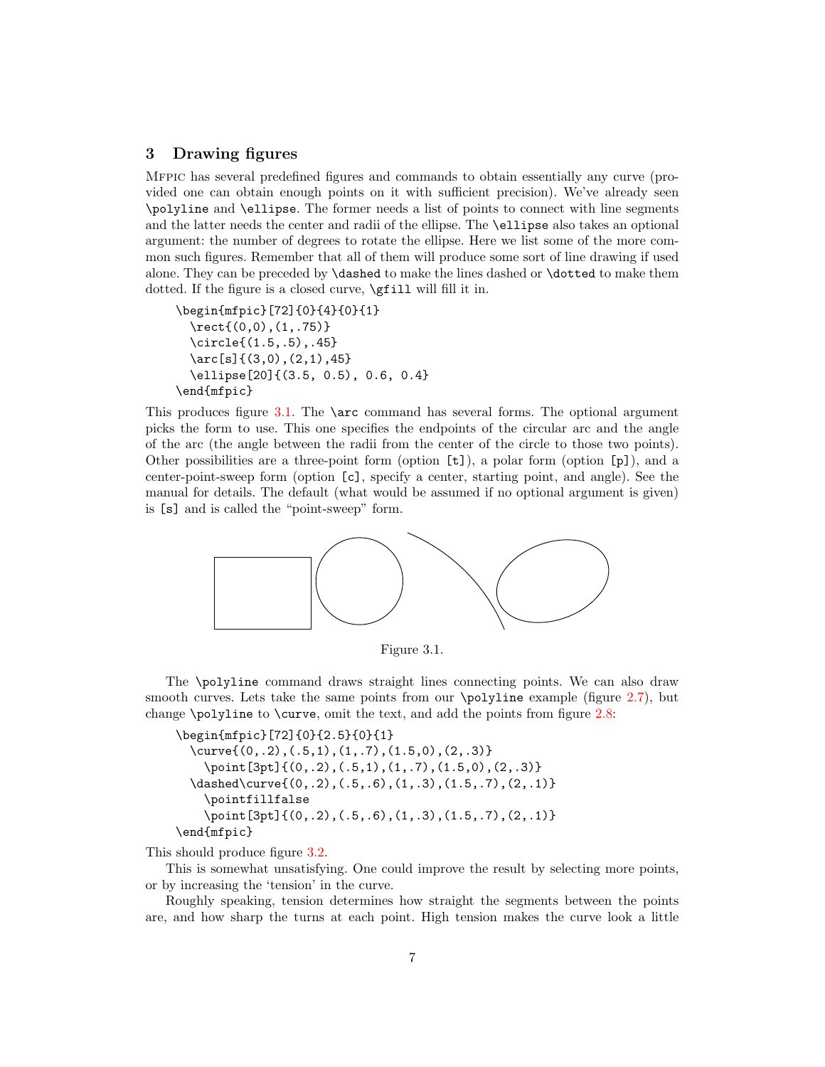# <span id="page-7-0"></span>3 Drawing figures

Mfpic has several predefined figures and commands to obtain essentially any curve (provided one can obtain enough points on it with sufficient precision). We've already seen \polyline and \ellipse. The former needs a list of points to connect with line segments and the latter needs the center and radii of the ellipse. The \ellipse also takes an optional argument: the number of degrees to rotate the ellipse. Here we list some of the more common such figures. Remember that all of them will produce some sort of line drawing if used alone. They can be preceded by \dashed to make the lines dashed or \dotted to make them dotted. If the figure is a closed curve, \gfill will fill it in.

```
\begin{mfpic}[72]{0}{4}{0}{1}
  \rect{(0,0),(1,.75)}
  \circle{(1.5,.5),.45}
  \arcsin(3,0), (2,1), 45\ellipse[20]{(3.5, 0.5), 0.6, 0.4}
\end{mfpic}
```
This produces figure [3.1.](#page-7-1) The  $\arccos$  command has several forms. The optional argument picks the form to use. This one specifies the endpoints of the circular arc and the angle of the arc (the angle between the radii from the center of the circle to those two points). Other possibilities are a three-point form (option  $[t]$ ), a polar form (option  $[p]$ ), and a center-point-sweep form (option [c], specify a center, starting point, and angle). See the manual for details. The default (what would be assumed if no optional argument is given) is [s] and is called the "point-sweep" form.

<span id="page-7-1"></span>

Figure 3.1.

The \polyline command draws straight lines connecting points. We can also draw smooth curves. Lets take the same points from our \polyline example (figure [2.7\)](#page-6-0), but change \polyline to \curve, omit the text, and add the points from figure [2.8:](#page-6-1)

```
\begin{mfpic}[72]{0}{2.5}{0}{1}
  \curve{(0,.2),(.5,1),(1,.7),(1.5,0),(2,.3)}
    \point[3pt]{(0,.2),(.5,1),(1,.7),(1.5,0),(2,.3)}
 \dashed\curve{(0,.2),(.5,.6),(1,.3),(1.5,.7),(2,.1)}
   \pointfillfalse
   \point[3pt]{(0,.2),(.5,.6),(1,.3),(1.5,.7),(2,.1)}
\end{mfpic}
```
This should produce figure [3.2.](#page-8-0)

This is somewhat unsatisfying. One could improve the result by selecting more points, or by increasing the 'tension' in the curve.

Roughly speaking, tension determines how straight the segments between the points are, and how sharp the turns at each point. High tension makes the curve look a little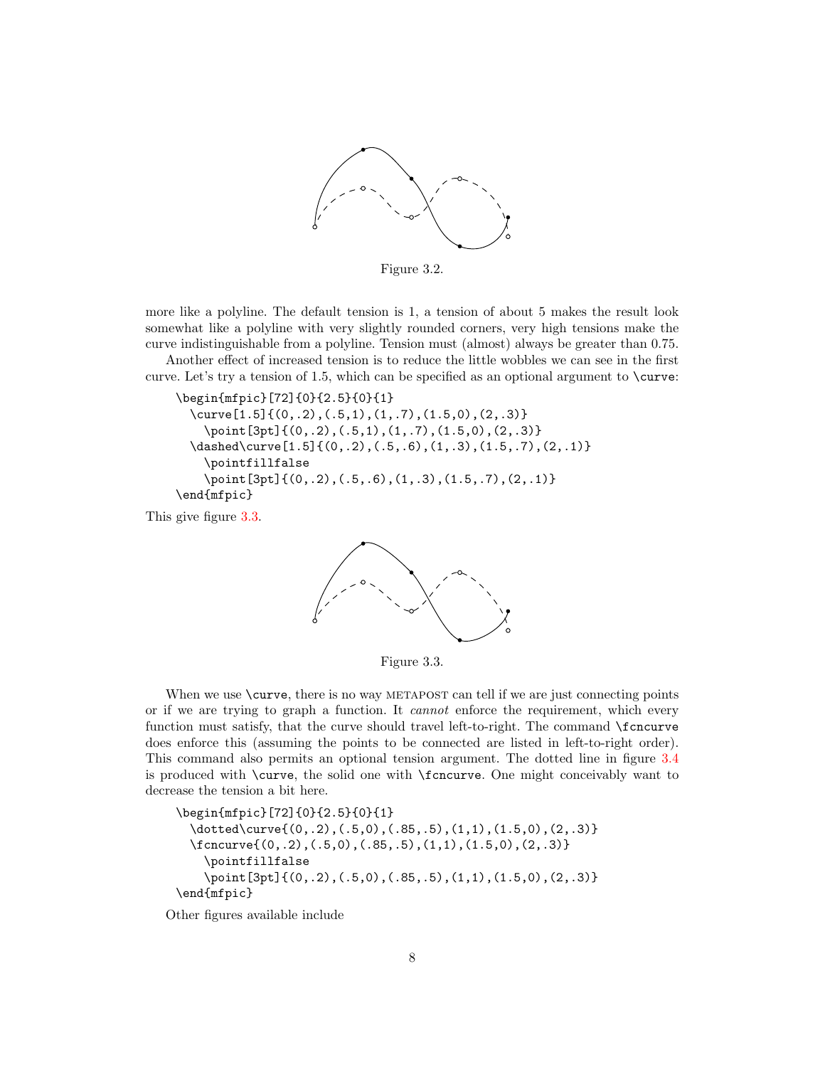

Figure 3.2.

<span id="page-8-0"></span>more like a polyline. The default tension is 1, a tension of about 5 makes the result look somewhat like a polyline with very slightly rounded corners, very high tensions make the curve indistinguishable from a polyline. Tension must (almost) always be greater than 0.75.

Another effect of increased tension is to reduce the little wobbles we can see in the first curve. Let's try a tension of 1.5, which can be specified as an optional argument to \curve:

\begin{mfpic}[72]{0}{2.5}{0}{1} \curve[1.5]{(0,.2),(.5,1),(1,.7),(1.5,0),(2,.3)} \point[3pt]{(0,.2),(.5,1),(1,.7),(1.5,0),(2,.3)}  $\dagger$  \dashed\curve[1.5]{(0,.2),(.5,.6),(1,.3),(1.5,.7),(2,.1)} \pointfillfalse \point[3pt]{(0,.2),(.5,.6),(1,.3),(1.5,.7),(2,.1)} \end{mfpic}

<span id="page-8-1"></span>This give figure [3.3.](#page-8-1)



Figure 3.3.

When we use  $\text{curve}$ , there is no way METAPOST can tell if we are just connecting points or if we are trying to graph a function. It cannot enforce the requirement, which every function must satisfy, that the curve should travel left-to-right. The command  $\frac{\cdot}{\cdot}$ does enforce this (assuming the points to be connected are listed in left-to-right order). This command also permits an optional tension argument. The dotted line in figure [3.4](#page-9-1) is produced with \curve, the solid one with \fcncurve. One might conceivably want to decrease the tension a bit here.

```
\begin{mfpic}[72]{0}{2.5}{0}{1}
  \dotted\curve{(0,.2),(.5,0),(.85,.5),(1,1),(1.5,0),(2,.3)}
  \fcncurve{(0,.2),(.5,0),(.85,.5),(1,1),(1.5,0),(2,.3)}
    \pointfillfalse
    \point[3pt]{(0,.2),(.5,0),(.85,.5),(1,1),(1.5,0),(2,.3)}
\end{mfpic}
```
Other figures available include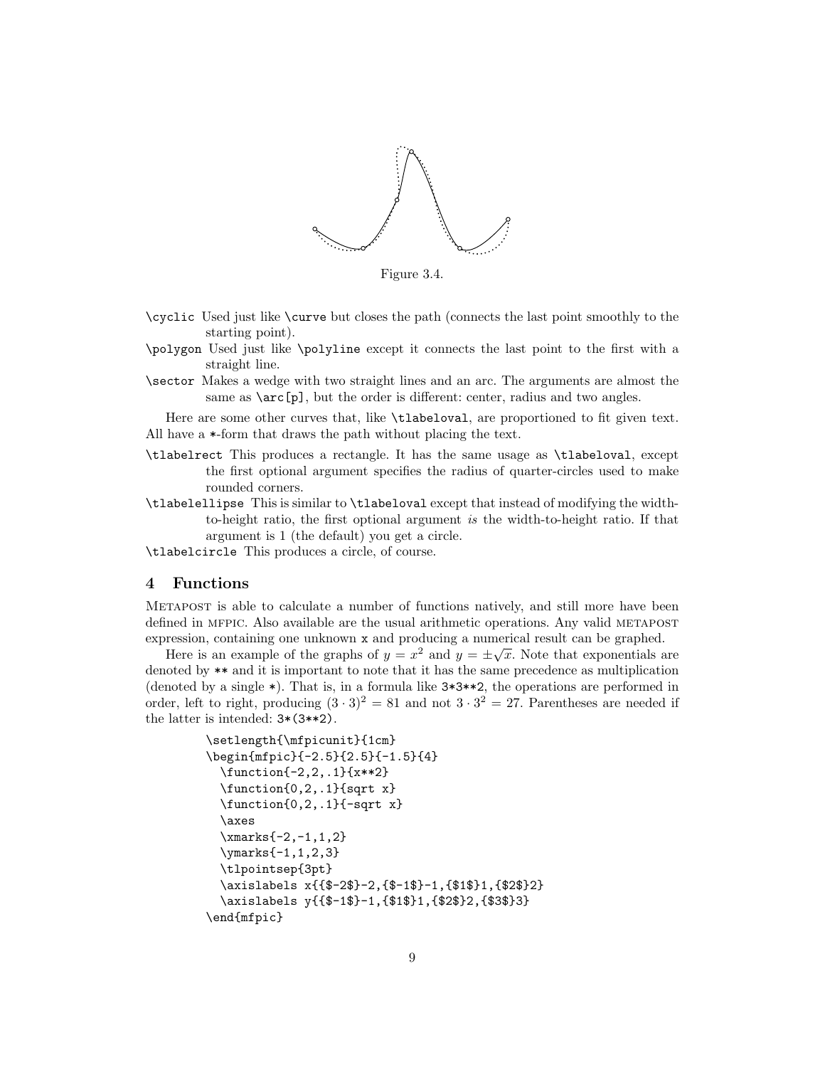<span id="page-9-1"></span>

Figure 3.4.

- \cyclic Used just like \curve but closes the path (connects the last point smoothly to the starting point).
- \polygon Used just like \polyline except it connects the last point to the first with a straight line.
- \sector Makes a wedge with two straight lines and an arc. The arguments are almost the same as  $\arctan \log x$ , but the order is different: center, radius and two angles.

Here are some other curves that, like \tlabeloval, are proportioned to fit given text. All have a \*-form that draws the path without placing the text.

- \tlabelrect This produces a rectangle. It has the same usage as \tlabeloval, except the first optional argument specifies the radius of quarter-circles used to make rounded corners.
- \tlabelellipse This is similar to \tlabeloval except that instead of modifying the widthto-height ratio, the first optional argument is the width-to-height ratio. If that argument is 1 (the default) you get a circle.

\tlabelcircle This produces a circle, of course.

## <span id="page-9-0"></span>4 Functions

Metapost is able to calculate a number of functions natively, and still more have been defined in MFPIC. Also available are the usual arithmetic operations. Any valid METAPOST expression, containing one unknown x and producing a numerical result can be graphed.

Here is an example of the graphs of  $y = x^2$  and  $y = \pm \sqrt{x}$ . Note that exponentials are denoted by \*\* and it is important to note that it has the same precedence as multiplication (denoted by a single \*). That is, in a formula like 3\*3\*\*2, the operations are performed in order, left to right, producing  $(3 \cdot 3)^2 = 81$  and not  $3 \cdot 3^2 = 27$ . Parentheses are needed if the latter is intended: 3\*(3\*\*2).

```
\setlength{\mfpicunit}{1cm}
\begin{mfpic}{-2.5}{2.5}{-1.5}{4}
 \function{-2,2,.1}{x**2}
 \function{0,2,.1}{sqrt x}
 \function{0,2,.1}{-sqrt x}
 \axes
 \xmarks{-2,-1,1,2}
 \ymarks{-1,1,2,3}
 \tlpointsep{3pt}
 \axislabels x{{$-2$}-2,{$-1$}-1,{$1$}1,{$2$}2}
 \axislabels y{{$-1$}-1,{$1$}1,{$2$}2,{$3$}3}
\end{mfpic}
```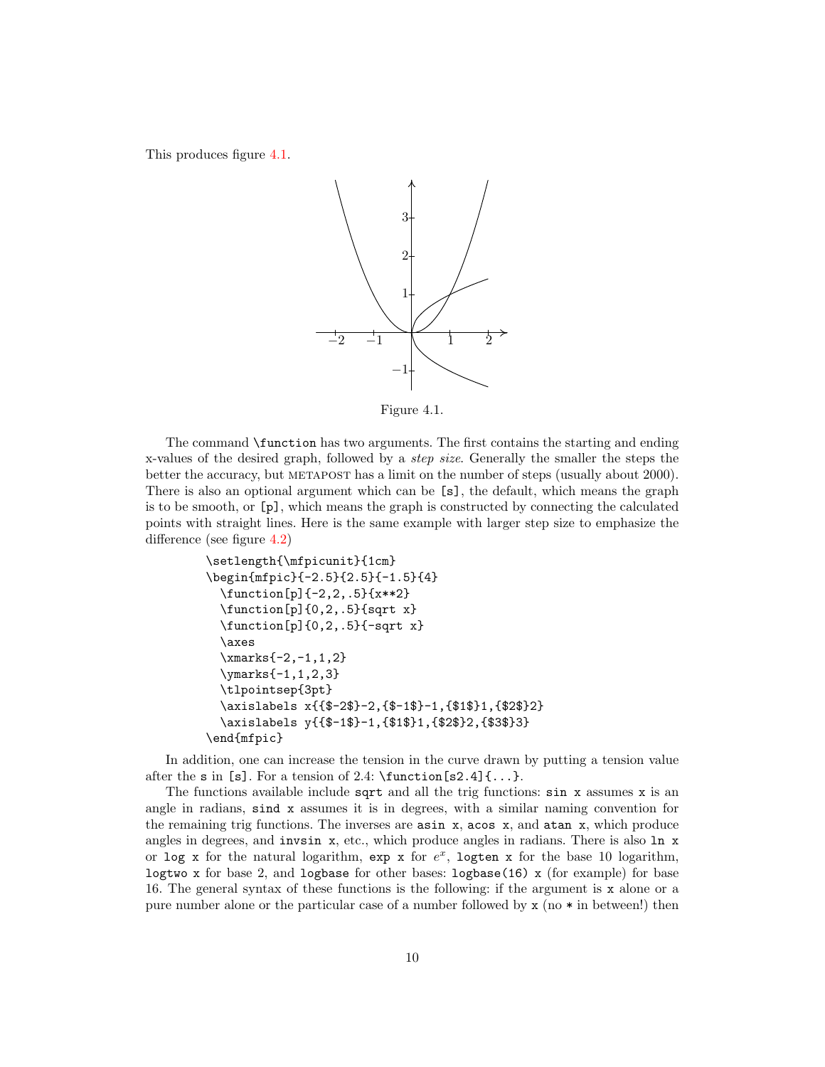<span id="page-10-0"></span>This produces figure [4.1.](#page-10-0)



Figure 4.1.

The command \function has two arguments. The first contains the starting and ending x-values of the desired graph, followed by a step size. Generally the smaller the steps the better the accuracy, but metapost has a limit on the number of steps (usually about 2000). There is also an optional argument which can be [s], the default, which means the graph is to be smooth, or [p], which means the graph is constructed by connecting the calculated points with straight lines. Here is the same example with larger step size to emphasize the difference (see figure [4.2\)](#page-11-0)

```
\setlength{\mfpicunit}{1cm}
\begin{mfpic}{-2.5}{2.5}{-1.5}{4}
 \function[p]{-2,2,.5}{x**2}
 \function[p]{0,2,.5}{sqrt x}
 \function[p]{0,2,.5}{-sqrt x}
 \axes
 \xmarks{-2,-1,1,2}
 \ymarks{-1,1,2,3}
 \tlpointsep{3pt}
 \axislabels x{{$-2$}-2,{$-1$}-1,{$1$}1,{$2$}2}
 \axislabels y{{$-1$}-1,{$1$}1,{$2$}2,{$3$}3}
\end{mfpic}
```
In addition, one can increase the tension in the curve drawn by putting a tension value after the s in [s]. For a tension of 2.4:  $\frac{\text{sa}}{1 \ldots}$ .

The functions available include sqrt and all the trig functions:  $\sin x$  assumes x is an angle in radians, sind x assumes it is in degrees, with a similar naming convention for the remaining trig functions. The inverses are asin x, acos x, and atan x, which produce angles in degrees, and invsin  $x$ , etc., which produce angles in radians. There is also  $\ln x$ or log x for the natural logarithm,  $exp x$  for  $e^x$ , logten x for the base 10 logarithm, logtwo x for base 2, and logbase for other bases: logbase(16) x (for example) for base 16. The general syntax of these functions is the following: if the argument is x alone or a pure number alone or the particular case of a number followed by  $x \text{ (no } * \text{ in between!})$  then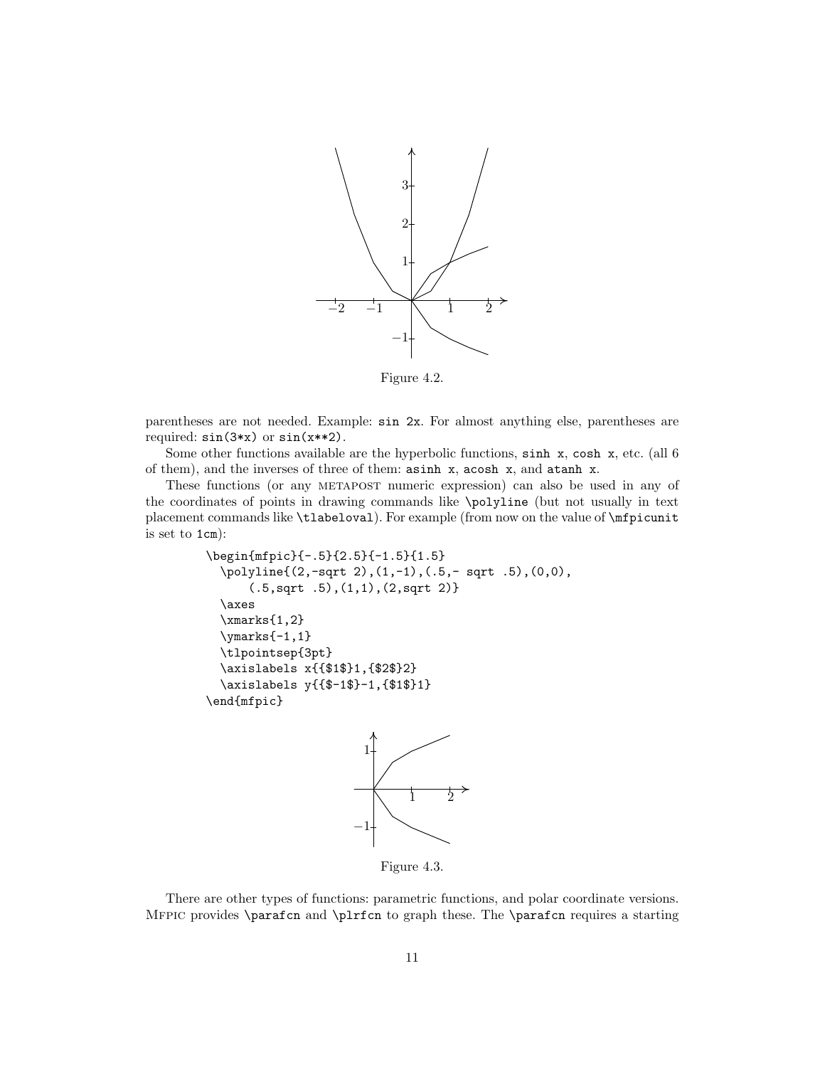<span id="page-11-0"></span>

Figure 4.2.

parentheses are not needed. Example: sin 2x. For almost anything else, parentheses are required: sin(3\*x) or sin(x\*\*2).

Some other functions available are the hyperbolic functions,  $\sinh x$ ,  $\cosh x$ , etc. (all 6) of them), and the inverses of three of them: asinh x, acosh x, and atanh x.

These functions (or any metapost numeric expression) can also be used in any of the coordinates of points in drawing commands like \polyline (but not usually in text placement commands like \tlabeloval). For example (from now on the value of \mfpicunit is set to 1cm):

```
\begin{mfpic}{-.5}{2.5}{-1.5}{1.5}
  \polyline{(2,-sqrt 2),(1,-1),(.5,- sqrt .5),(0,0),
      (.5,sqrt .5),(1,1),(2,sqrt 2)}
  \axes
  \xmarks{1,2}
  \ymarks{-1,1}
  \tlpointsep{3pt}
  \axislabels x{{$1$}1,{$2$}2}
  \axislabels y{{$-1$}-1,{$1$}1}
\end{mfpic}
```


Figure 4.3.

There are other types of functions: parametric functions, and polar coordinate versions. Mfpic provides \parafcn and \plrfcn to graph these. The \parafcn requires a starting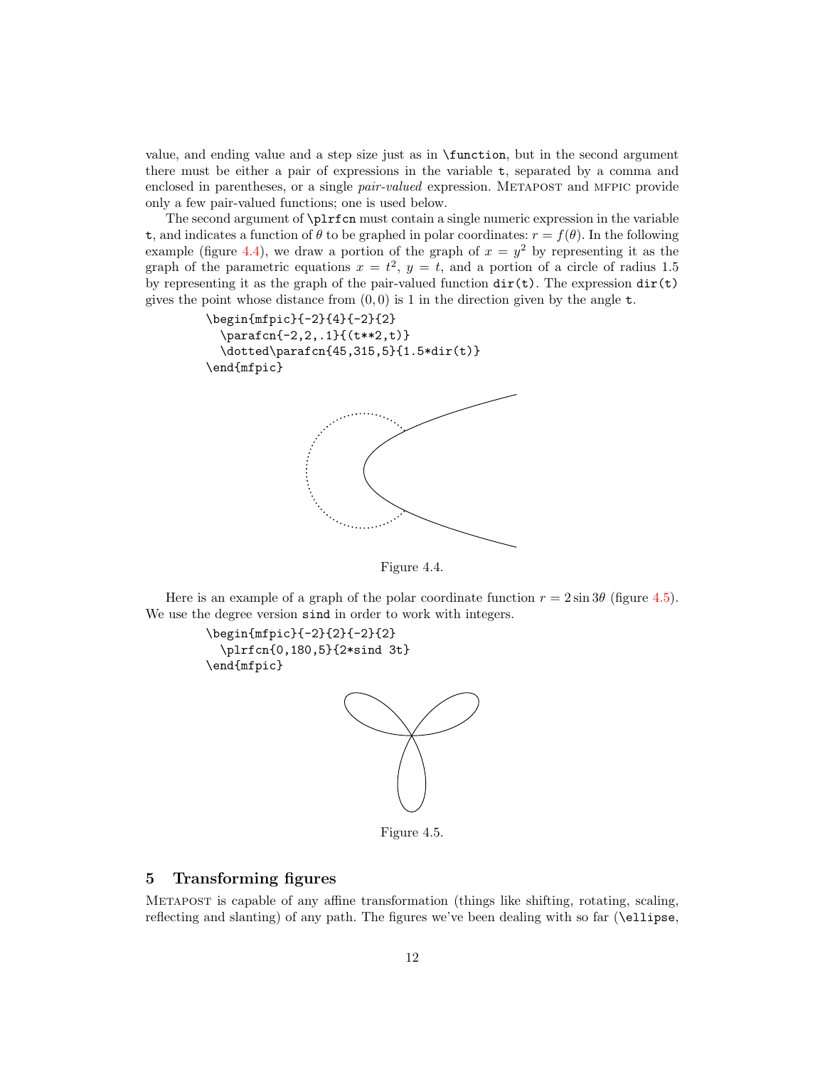value, and ending value and a step size just as in \function, but in the second argument there must be either a pair of expressions in the variable t, separated by a comma and enclosed in parentheses, or a single *pair-valued* expression. METAPOST and MFPIC provide only a few pair-valued functions; one is used below.

The second argument of \plrfcn must contain a single numeric expression in the variable t, and indicates a function of  $\theta$  to be graphed in polar coordinates:  $r = f(\theta)$ . In the following example (figure [4.4\)](#page-12-1), we draw a portion of the graph of  $x = y^2$  by representing it as the graph of the parametric equations  $x = t^2$ ,  $y = t$ , and a portion of a circle of radius 1.5 by representing it as the graph of the pair-valued function  $\text{dir}(t)$ . The expression  $\text{dir}(t)$ gives the point whose distance from  $(0, 0)$  is 1 in the direction given by the angle t.

```
\begin{mfpic}{-2}{4}{-2}{2}
  \parafcn{-2,2,.1}{(t**2,t)}
  \dotted\parafcn{45,315,5}{1.5*dir(t)}
\end{mfpic}
```


Figure 4.4.

Here is an example of a graph of the polar coordinate function  $r = 2 \sin 3\theta$  (figure [4.5\)](#page-12-2). We use the degree version sind in order to work with integers.

```
\begin{mfpic}{-2}{2}{-2}{2}
  \plrfcn{0,180,5}{2*sind 3t}
\end{mfpic}
```


Figure 4.5.

## <span id="page-12-0"></span>5 Transforming figures

Metapost is capable of any affine transformation (things like shifting, rotating, scaling, reflecting and slanting) of any path. The figures we've been dealing with so far (\ellipse,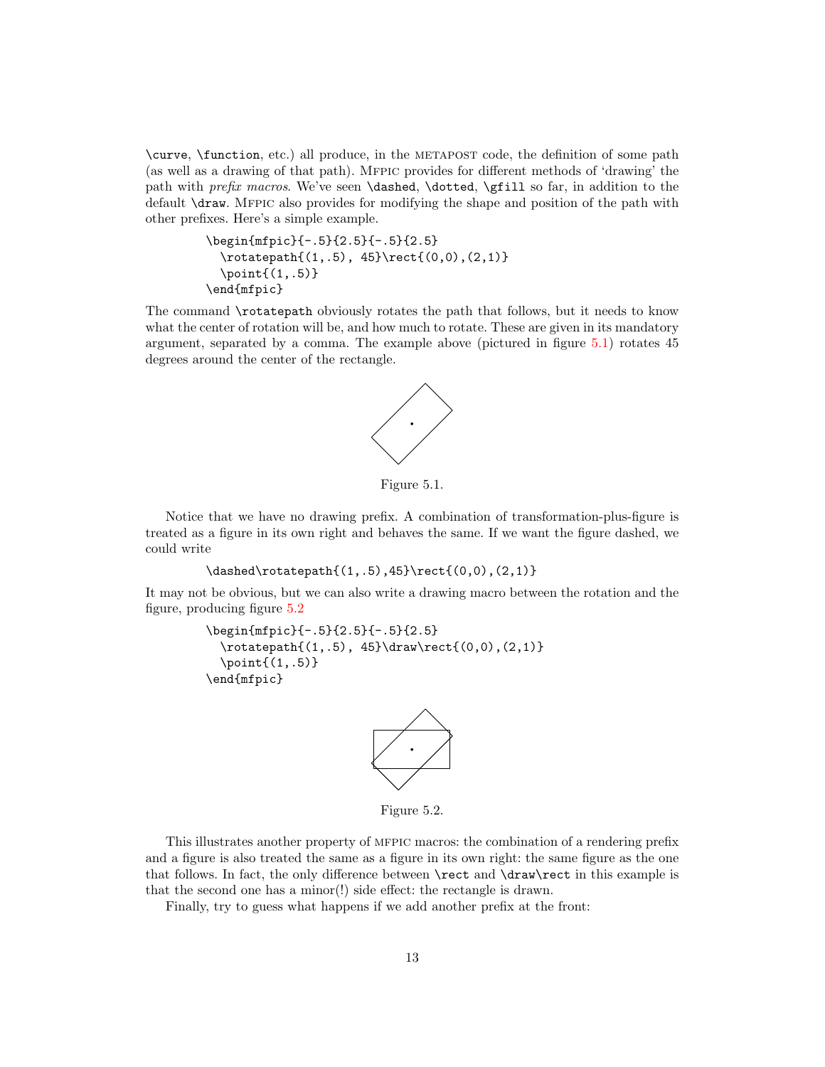\curve, \function, etc.) all produce, in the metapost code, the definition of some path (as well as a drawing of that path). Mfpic provides for different methods of 'drawing' the path with prefix macros. We've seen \dashed, \dotted, \gfill so far, in addition to the default \draw. Mfpic also provides for modifying the shape and position of the path with other prefixes. Here's a simple example.

```
\begin{mfpic}{-.5}{2.5}{-.5}{2.5}
 \rotatepath{(1,.5), 45}\rect{(0,0),(2,1)}
 \point{(1,.5)}
\end{mfpic}
```
<span id="page-13-0"></span>The command \rotatepath obviously rotates the path that follows, but it needs to know what the center of rotation will be, and how much to rotate. These are given in its mandatory argument, separated by a comma. The example above (pictured in figure [5.1\)](#page-13-0) rotates 45 degrees around the center of the rectangle.



Figure 5.1.

Notice that we have no drawing prefix. A combination of transformation-plus-figure is treated as a figure in its own right and behaves the same. If we want the figure dashed, we could write

```
\dashed\rotatepath{(1,.5),45}\rect{(0,0),(2,1)}
```
It may not be obvious, but we can also write a drawing macro between the rotation and the figure, producing figure [5.2](#page-13-1)

```
\begin{mfpic}{-.5}{2.5}{-.5}{2.5}
 \rotaten{(1,.5), 45}\draw\rect{(0,0), (2,1)}\point(1,.5)\end{mfpic}
```


Figure 5.2.

This illustrates another property of mfpic macros: the combination of a rendering prefix and a figure is also treated the same as a figure in its own right: the same figure as the one that follows. In fact, the only difference between \rect and \draw\rect in this example is that the second one has a minor(!) side effect: the rectangle is drawn.

Finally, try to guess what happens if we add another prefix at the front: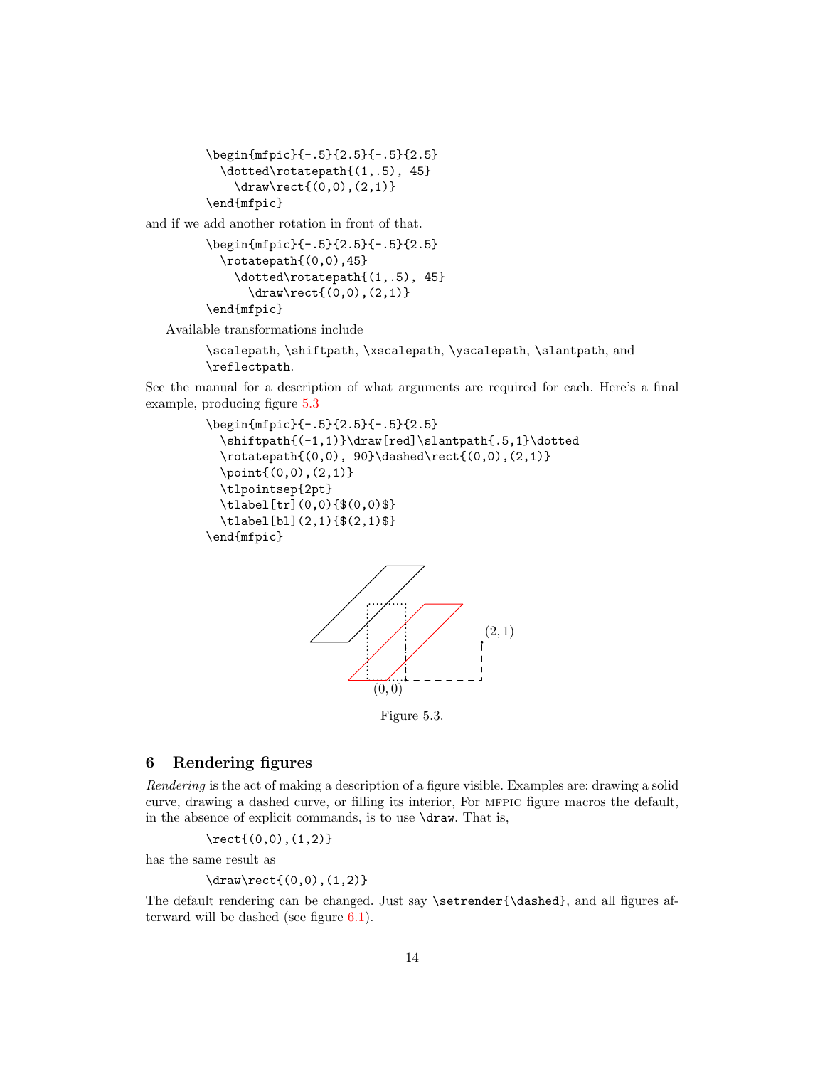```
\begin{mfpic}{-.5}{2.5}{-.5}{2.5}
 \dotted\rotatepath{(1,.5), 45}
   \draw\rect{(0,0),(2,1)}
\end{mfpic}
```
and if we add another rotation in front of that.

```
\begin{mfpic}{-.5}{2.5}{-.5}{2.5}
  \rotatepath{(0,0),45}
    \dotted\rotatepath{(1,.5), 45}
      \draw\rect{(0,0),(2,1)}
\end{mfpic}
```
Available transformations include

```
\scalepath, \shiftpath, \xscalepath, \yscalepath, \slantpath, and
\reflectpath.
```
See the manual for a description of what arguments are required for each. Here's a final example, producing figure [5.3](#page-14-1)

```
\begin{mfpic}{-.5}{2.5}{-.5}{2.5}
  \shiftpath{(-1,1)}\draw[red]\slantpath{.5,1}\dotted
  \rotatepath{(0,0), 90}\dashed\rect{(0,0),(2,1)}
  \point{(0,0),(2,1)}
  \tlpointsep{2pt}
  \tlabel[tr](0,0){$(0,0)$}
  \tlabel[bl](2,1){$(2,1)$}
\end{mfpic}
```
<span id="page-14-1"></span>

Figure 5.3.

# <span id="page-14-0"></span>6 Rendering figures

Rendering is the act of making a description of a figure visible. Examples are: drawing a solid curve, drawing a dashed curve, or filling its interior, For mfpic figure macros the default, in the absence of explicit commands, is to use \draw. That is,

 $\text{(0,0),(1,2)}$ 

has the same result as

\draw\rect{(0,0),(1,2)}

The default rendering can be changed. Just say \setrender{\dashed}, and all figures afterward will be dashed (see figure [6.1\)](#page-15-0).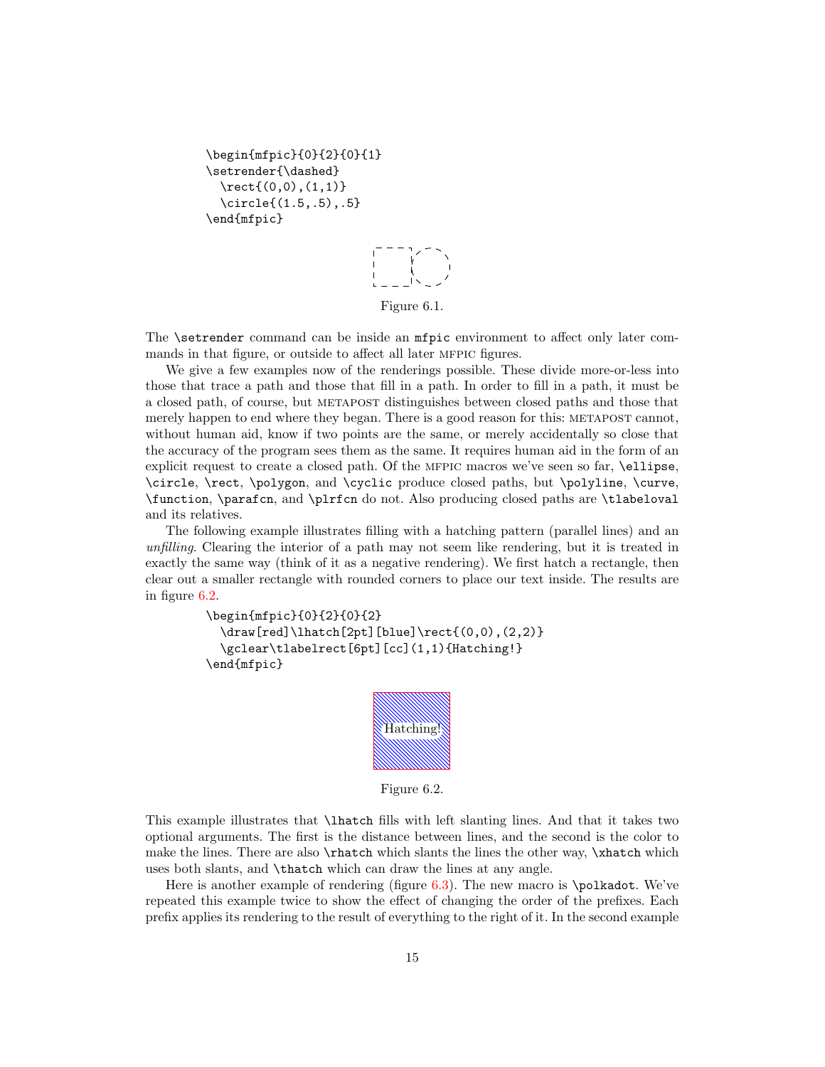```
\begin{mfpic}{0}{2}{0}{1}
\setrender{\dashed}
 \text{(0,0),(1,1)}\circle{(1.5,.5),.5}
\end{mfpic}
```
Figure 6.1.

<span id="page-15-0"></span>The **\setrender** command can be inside an **mfpic** environment to affect only later commands in that figure, or outside to affect all later MFPIC figures.

We give a few examples now of the renderings possible. These divide more-or-less into those that trace a path and those that fill in a path. In order to fill in a path, it must be a closed path, of course, but metapost distinguishes between closed paths and those that merely happen to end where they began. There is a good reason for this: METAPOST cannot, without human aid, know if two points are the same, or merely accidentally so close that the accuracy of the program sees them as the same. It requires human aid in the form of an explicit request to create a closed path. Of the MFPIC macros we've seen so far, \ellipse, \circle, \rect, \polygon, and \cyclic produce closed paths, but \polyline, \curve, \function, \parafcn, and \plrfcn do not. Also producing closed paths are \tlabeloval and its relatives.

The following example illustrates filling with a hatching pattern (parallel lines) and an unfilling. Clearing the interior of a path may not seem like rendering, but it is treated in exactly the same way (think of it as a negative rendering). We first hatch a rectangle, then clear out a smaller rectangle with rounded corners to place our text inside. The results are in figure [6.2.](#page-15-1)

```
\begin{mfpic}{0}{2}{0}{2}
 \draw[red]\lhatch[2pt][blue]\rect{(0,0),(2,2)}
 \gclear\tlabelrect[6pt][cc](1,1){Hatching!}
\end{mfpic}
```


Figure 6.2.

This example illustrates that \lhatch fills with left slanting lines. And that it takes two optional arguments. The first is the distance between lines, and the second is the color to make the lines. There are also **\rhatch** which slants the lines the other way, **\xhatch** which uses both slants, and \thatch which can draw the lines at any angle.

Here is another example of rendering (figure  $6.3$ ). The new macro is \polkadot. We've repeated this example twice to show the effect of changing the order of the prefixes. Each prefix applies its rendering to the result of everything to the right of it. In the second example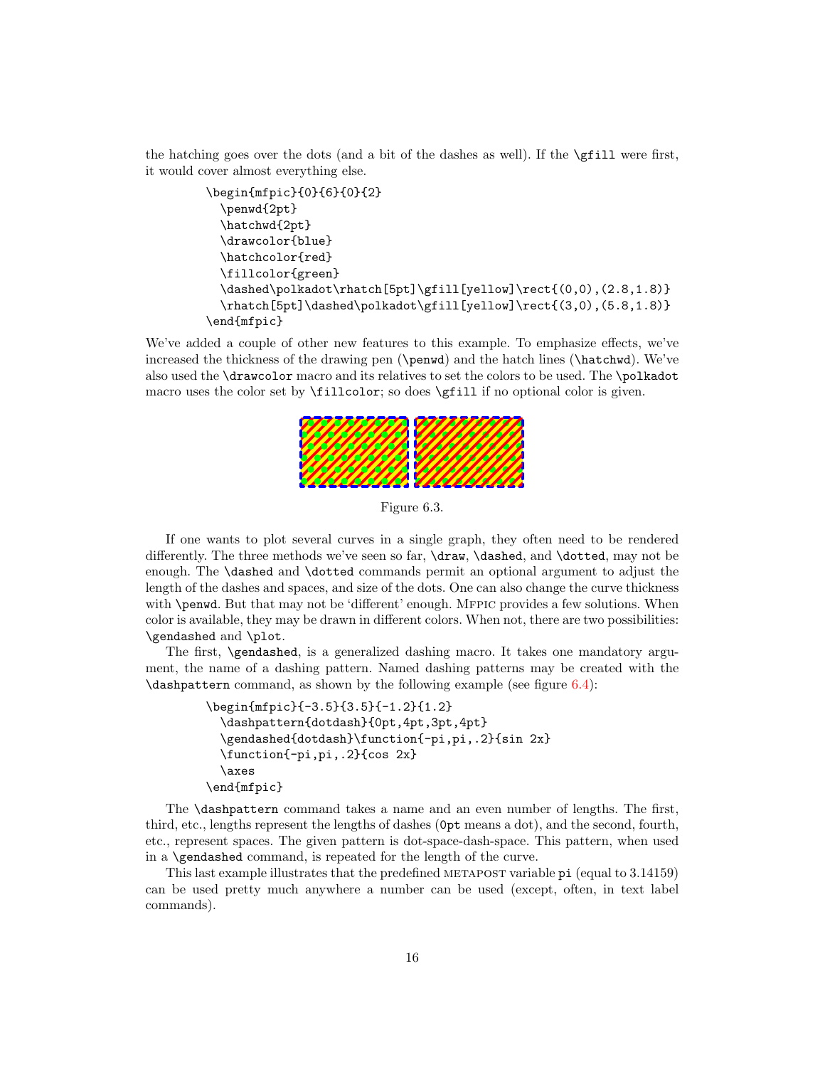the hatching goes over the dots (and a bit of the dashes as well). If the  $\sqrt{f11}$  were first, it would cover almost everything else.

```
\begin{mfpic}{0}{6}{0}{2}
  \penwd{2pt}
  \hatchwd{2pt}
  \drawcolor{blue}
  \hatchcolor{red}
  \fillcolor{green}
  \dashed\polkadot\rhatch[5pt]\gfill[yellow]\rect{(0,0),(2.8,1.8)}
  \rhatch[5pt]\dashed\polkadot\gfill[yellow]\rect{(3,0),(5.8,1.8)}
\end{mfpic}
```
<span id="page-16-0"></span>We've added a couple of other new features to this example. To emphasize effects, we've increased the thickness of the drawing pen (\penwd) and the hatch lines (\hatchwd). We've also used the \drawcolor macro and its relatives to set the colors to be used. The \polkadot macro uses the color set by \fillcolor; so does \gfill if no optional color is given.



Figure 6.3.

If one wants to plot several curves in a single graph, they often need to be rendered differently. The three methods we've seen so far, \draw, \dashed, and \dotted, may not be enough. The \dashed and \dotted commands permit an optional argument to adjust the length of the dashes and spaces, and size of the dots. One can also change the curve thickness with **\penwd**. But that may not be 'different' enough. MFPIC provides a few solutions. When color is available, they may be drawn in different colors. When not, there are two possibilities: \gendashed and \plot.

The first, \gendashed, is a generalized dashing macro. It takes one mandatory argument, the name of a dashing pattern. Named dashing patterns may be created with the  $\dagger$  ashpattern command, as shown by the following example (see figure [6.4\)](#page-17-1):

```
\begin{mfpic}{-3.5}{3.5}{-1.2}{1.2}
 \dashpattern{dotdash}{0pt,4pt,3pt,4pt}
 \gendashed{dotdash}\function{-pi,pi,.2}{sin 2x}
 \function{-pi,pi,.2}{cos 2x}
 \axes
\end{mfpic}
```
The \dashpattern command takes a name and an even number of lengths. The first, third, etc., lengths represent the lengths of dashes (0pt means a dot), and the second, fourth, etc., represent spaces. The given pattern is dot-space-dash-space. This pattern, when used in a \gendashed command, is repeated for the length of the curve.

This last example illustrates that the predefined METAPOST variable pi (equal to 3.14159) can be used pretty much anywhere a number can be used (except, often, in text label commands).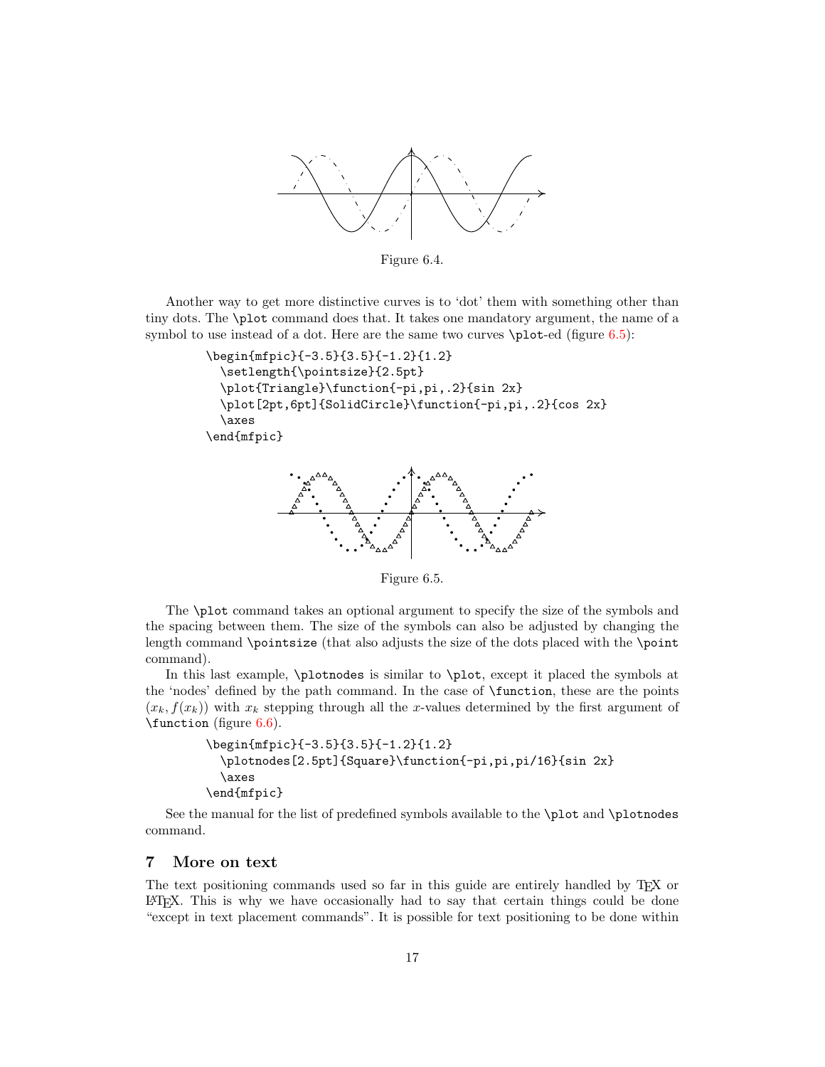<span id="page-17-1"></span>

Figure 6.4.

Another way to get more distinctive curves is to 'dot' them with something other than tiny dots. The \plot command does that. It takes one mandatory argument, the name of a symbol to use instead of a dot. Here are the same two curves  $\phi$ -to-ed (figure [6.5\)](#page-17-2):

```
\begin{mfpic}{-3.5}{3.5}{-1.2}{1.2}
 \setlength{\pointsize}{2.5pt}
 \plot{Triangle}\function{-pi,pi,.2}{sin 2x}
 \plot[2pt,6pt]{SolidCircle}\function{-pi,pi,.2}{cos 2x}
 \axes
\end{mfpic}
```
<span id="page-17-2"></span>

Figure 6.5.

The \plot command takes an optional argument to specify the size of the symbols and the spacing between them. The size of the symbols can also be adjusted by changing the length command \pointsize (that also adjusts the size of the dots placed with the \point command).

In this last example, \plotnodes is similar to \plot, except it placed the symbols at the 'nodes' defined by the path command. In the case of \function, these are the points  $(x_k, f(x_k))$  with  $x_k$  stepping through all the x-values determined by the first argument of \function (figure [6.6\)](#page-18-0).

```
\begin{mfpic}{-3.5}{3.5}{-1.2}{1.2}
 \plotnodes[2.5pt]{Square}\function{-pi,pi,pi/16}{sin 2x}
 \axes
\end{mfpic}
```
See the manual for the list of predefined symbols available to the \plot and \plotnodes command.

# <span id="page-17-0"></span>7 More on text

The text positioning commands used so far in this guide are entirely handled by TEX or LATEX. This is why we have occasionally had to say that certain things could be done "except in text placement commands". It is possible for text positioning to be done within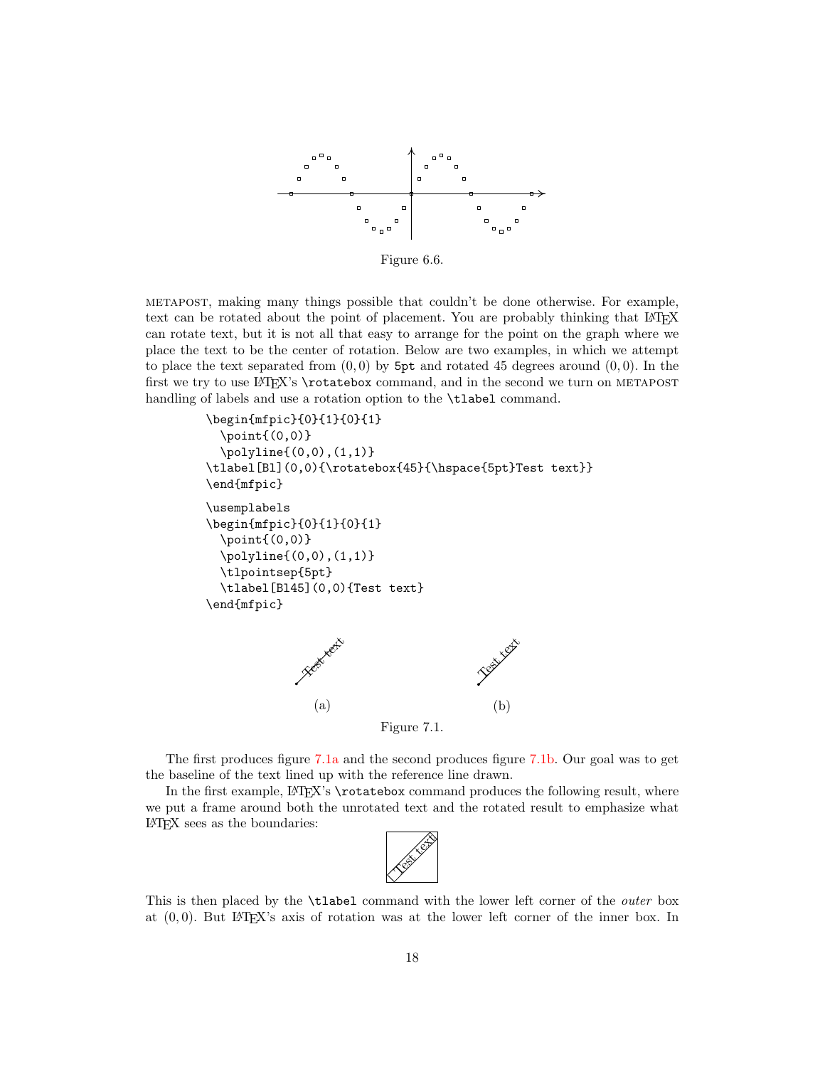<span id="page-18-0"></span>

Figure 6.6.

metapost, making many things possible that couldn't be done otherwise. For example, text can be rotated about the point of placement. You are probably thinking that L<sup>AT</sup>EX can rotate text, but it is not all that easy to arrange for the point on the graph where we place the text to be the center of rotation. Below are two examples, in which we attempt to place the text separated from  $(0, 0)$  by 5pt and rotated 45 degrees around  $(0, 0)$ . In the first we try to use LATEX's \rotatebox command, and in the second we turn on METAPOST handling of labels and use a rotation option to the **\tlabel** command.

```
\begin{mfpic}{0}{1}{0}{1}
  \point{(0,0)}
  \polyline{(0,0),(1,1)}
\tlabel[Bl](0,0){\rotatebox{45}{\hspace{5pt}Test text}}
\end{mfpic}
\usemplabels
\begin{mfpic}{0}{1}{0}{1}
  \point{(0,0)}
  \polyline{(0,0),(1,1)}
  \tlpointsep{5pt}
  \tlabel[Bl45](0,0){Test text}
\end{mfpic}
              Test text
                (a)
                                         Test text is
                                            (b)
```
<span id="page-18-2"></span><span id="page-18-1"></span>

The first produces figure [7.1a](#page-18-1) and the second produces figure [7.1b.](#page-18-2) Our goal was to get the baseline of the text lined up with the reference line drawn.

In the first example, LATEX's \rotatebox command produces the following result, where we put a frame around both the unrotated text and the rotated result to emphasize what LATEX sees as the boundaries:



This is then placed by the **\tlabel** command with the lower left corner of the *outer* box at  $(0, 0)$ . But LAT<sub>EX</sub>'s axis of rotation was at the lower left corner of the inner box. In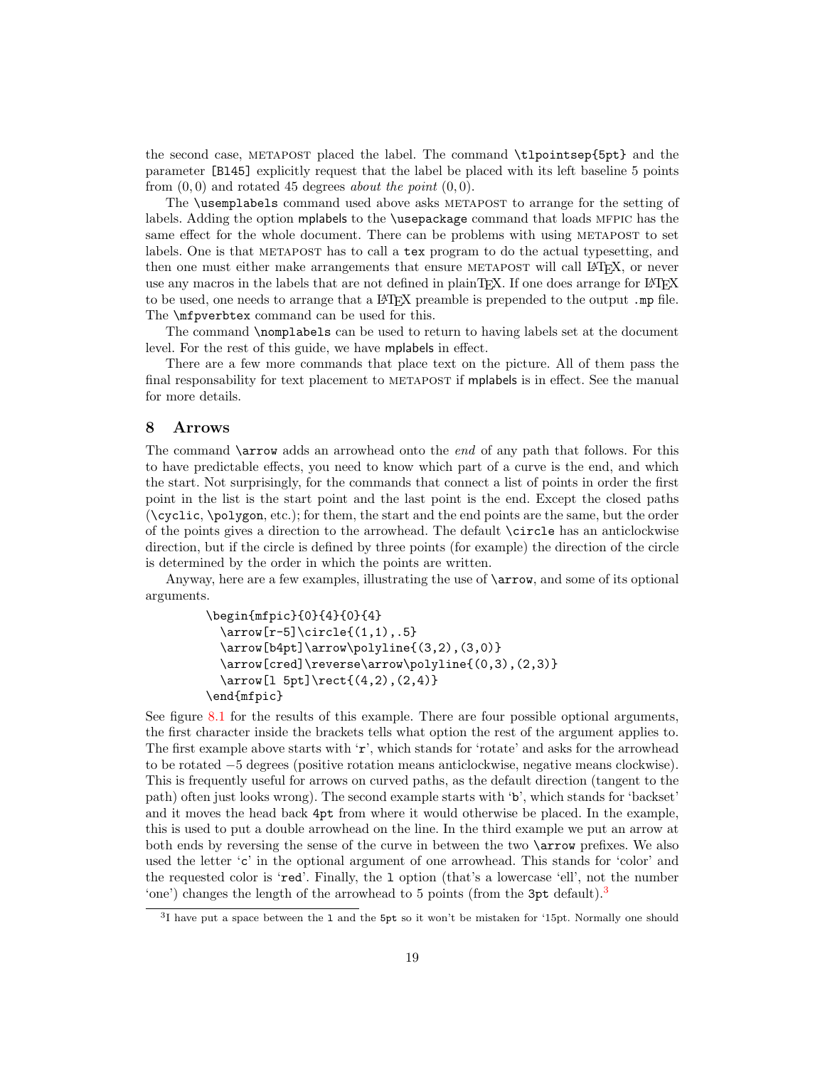the second case, METAPOST placed the label. The command \tlpointsep{5pt} and the parameter [Bl45] explicitly request that the label be placed with its left baseline 5 points from  $(0, 0)$  and rotated 45 degrees about the point  $(0, 0)$ .

The \usemplabels command used above asks METAPOST to arrange for the setting of labels. Adding the option mplabels to the \usepackage command that loads MFPIC has the same effect for the whole document. There can be problems with using METAPOST to set labels. One is that METAPOST has to call a tex program to do the actual typesetting, and then one must either make arrangements that ensure METAPOST will call LATEX, or never use any macros in the labels that are not defined in plainTFX. If one does arrange for LATFX to be used, one needs to arrange that a L<sup>AT</sup>EX preamble is prepended to the output .mp file. The \mfpverbtex command can be used for this.

The command \nomplabels can be used to return to having labels set at the document level. For the rest of this guide, we have mplabels in effect.

There are a few more commands that place text on the picture. All of them pass the final responsability for text placement to METAPOST if mplabels is in effect. See the manual for more details.

# <span id="page-19-0"></span>8 Arrows

The command  $\arccos$  adds an arrowhead onto the *end* of any path that follows. For this to have predictable effects, you need to know which part of a curve is the end, and which the start. Not surprisingly, for the commands that connect a list of points in order the first point in the list is the start point and the last point is the end. Except the closed paths  $(\csc \text{polygon}, \text{etc.})$ ; for them, the start and the end points are the same, but the order of the points gives a direction to the arrowhead. The default \circle has an anticlockwise direction, but if the circle is defined by three points (for example) the direction of the circle is determined by the order in which the points are written.

Anyway, here are a few examples, illustrating the use of \arrow, and some of its optional arguments.

```
\begin{mfpic}{0}{4}{0}{4}
  \arrow[r-5]\cite{1,1),.5}\arrow[b4pt]\arrow\polyline{(3,2),(3,0)}
 \arrow[cred]\reverse\arrow\polyline{(0,3),(2,3)}
 \arrow[l 5pt]\rect{(4,2),(2,4)}
\end{mfpic}
```
See figure [8.1](#page-20-1) for the results of this example. There are four possible optional arguments, the first character inside the brackets tells what option the rest of the argument applies to. The first example above starts with  $\mathbf{r}'$ , which stands for 'rotate' and asks for the arrowhead to be rotated −5 degrees (positive rotation means anticlockwise, negative means clockwise). This is frequently useful for arrows on curved paths, as the default direction (tangent to the path) often just looks wrong). The second example starts with 'b', which stands for 'backset' and it moves the head back 4pt from where it would otherwise be placed. In the example, this is used to put a double arrowhead on the line. In the third example we put an arrow at both ends by reversing the sense of the curve in between the two \arrow prefixes. We also used the letter 'c' in the optional argument of one arrowhead. This stands for 'color' and the requested color is 'red'. Finally, the l option (that's a lowercase 'ell', not the number 'one') changes the length of the arrowhead to 5 points (from the  $3pt$  $3pt$  default).<sup>3</sup>

<span id="page-19-1"></span><sup>&</sup>lt;sup>3</sup>I have put a space between the 1 and the 5pt so it won't be mistaken for '15pt. Normally one should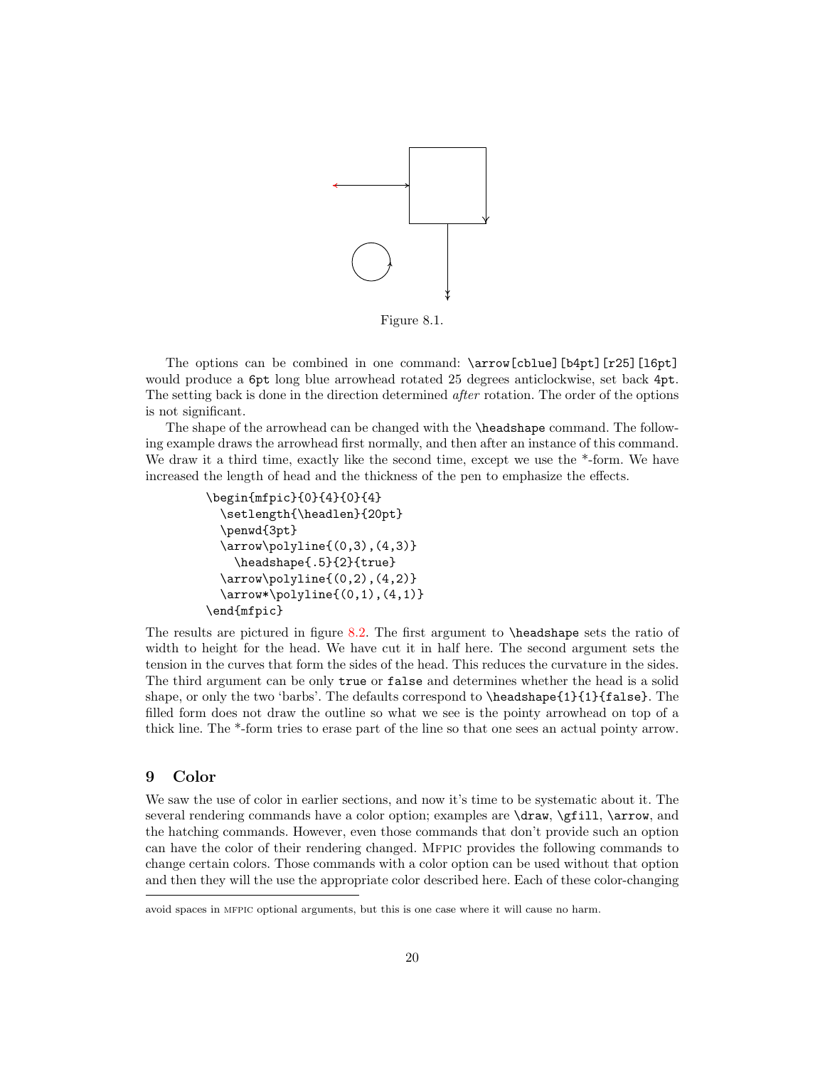<span id="page-20-1"></span>

Figure 8.1.

The options can be combined in one command: \arrow[cblue][b4pt][r25][16pt] would produce a  $6pt$  long blue arrowhead rotated 25 degrees anticlockwise, set back  $4pt$ . The setting back is done in the direction determined *after* rotation. The order of the options is not significant.

The shape of the arrowhead can be changed with the \headshape command. The following example draws the arrowhead first normally, and then after an instance of this command. We draw it a third time, exactly like the second time, except we use the  $*$ -form. We have increased the length of head and the thickness of the pen to emphasize the effects.

```
\begin{mfpic}{0}{4}{0}{4}
 \setlength{\headlen}{20pt}
 \penwd{3pt}
 \arrow\polyline{(0,3),(4,3)}
    \headshape{.5}{2}{true}
 \arrow\polyline{(0,2),(4,2)}
 \arrow*\polyline{(0,1),(4,1)}
\end{mfpic}
```
The results are pictured in figure [8.2.](#page-21-0) The first argument to \headshape sets the ratio of width to height for the head. We have cut it in half here. The second argument sets the tension in the curves that form the sides of the head. This reduces the curvature in the sides. The third argument can be only true or false and determines whether the head is a solid shape, or only the two 'barbs'. The defaults correspond to \headshape{1}{1}{false}. The filled form does not draw the outline so what we see is the pointy arrowhead on top of a thick line. The \*-form tries to erase part of the line so that one sees an actual pointy arrow.

# <span id="page-20-0"></span>9 Color

We saw the use of color in earlier sections, and now it's time to be systematic about it. The several rendering commands have a color option; examples are **\draw**, **\gfill**, **\arrow**, and the hatching commands. However, even those commands that don't provide such an option can have the color of their rendering changed. Mfpic provides the following commands to change certain colors. Those commands with a color option can be used without that option and then they will the use the appropriate color described here. Each of these color-changing

avoid spaces in mfpic optional arguments, but this is one case where it will cause no harm.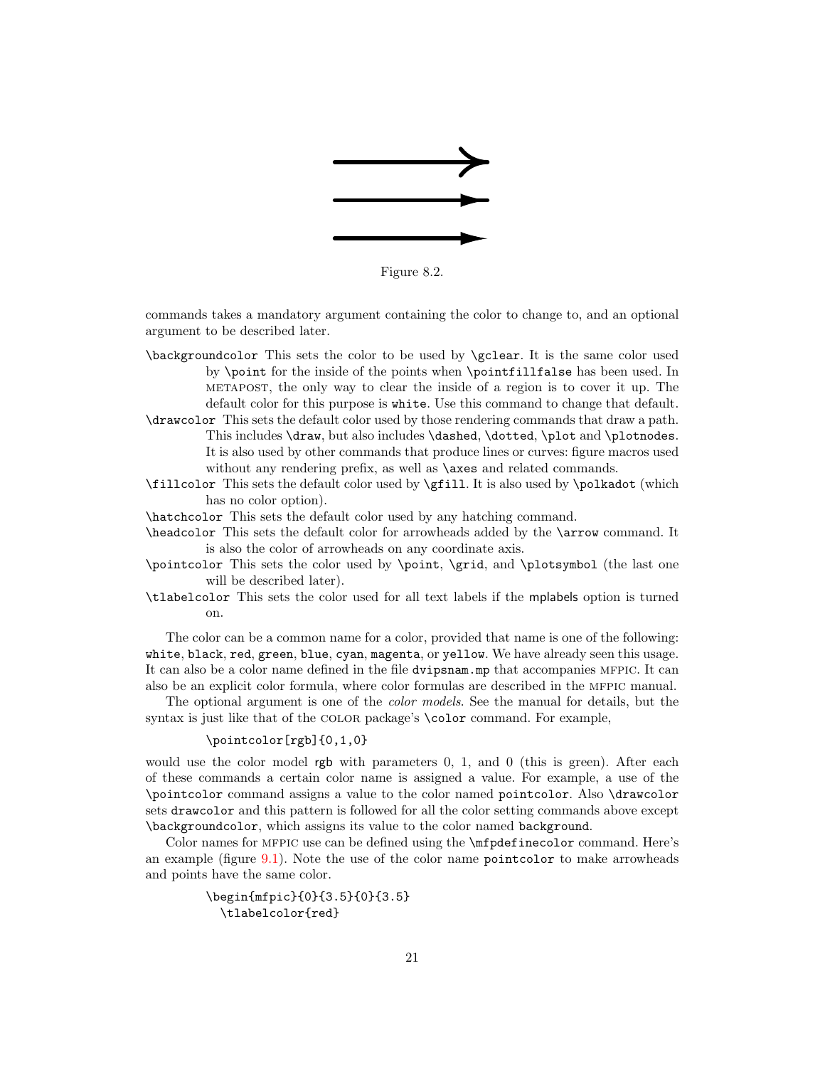

Figure 8.2.

<span id="page-21-0"></span>commands takes a mandatory argument containing the color to change to, and an optional argument to be described later.

- \backgroundcolor This sets the color to be used by \gclear. It is the same color used by \point for the inside of the points when \pointfillfalse has been used. In metapost, the only way to clear the inside of a region is to cover it up. The default color for this purpose is white. Use this command to change that default.
- \drawcolor This sets the default color used by those rendering commands that draw a path. This includes \draw, but also includes \dashed, \dotted, \plot and \plotnodes. It is also used by other commands that produce lines or curves: figure macros used without any rendering prefix, as well as **\axes** and related commands.
- \fillcolor This sets the default color used by \gfill. It is also used by \polkadot (which has no color option).
- \hatchcolor This sets the default color used by any hatching command.
- \headcolor This sets the default color for arrowheads added by the \arrow command. It is also the color of arrowheads on any coordinate axis.
- \pointcolor This sets the color used by \point, \grid, and \plotsymbol (the last one will be described later).
- \tlabelcolor This sets the color used for all text labels if the mplabels option is turned on.

The color can be a common name for a color, provided that name is one of the following: white, black, red, green, blue, cyan, magenta, or yellow. We have already seen this usage. It can also be a color name defined in the file dvipsnam.mp that accompanies mfpic. It can also be an explicit color formula, where color formulas are described in the mfpic manual.

The optional argument is one of the color models. See the manual for details, but the syntax is just like that of the COLOR package's **\color** command. For example,

# \pointcolor[rgb]{0,1,0}

would use the color model rgb with parameters 0, 1, and 0 (this is green). After each of these commands a certain color name is assigned a value. For example, a use of the \pointcolor command assigns a value to the color named pointcolor. Also \drawcolor sets drawcolor and this pattern is followed for all the color setting commands above except \backgroundcolor, which assigns its value to the color named background.

Color names for MFPIC use can be defined using the  $\infty$  infpdefinecolor command. Here's an example (figure [9.1\)](#page-22-1). Note the use of the color name pointcolor to make arrowheads and points have the same color.

```
\begin{mfpic}{0}{3.5}{0}{3.5}
  \tlabelcolor{red}
```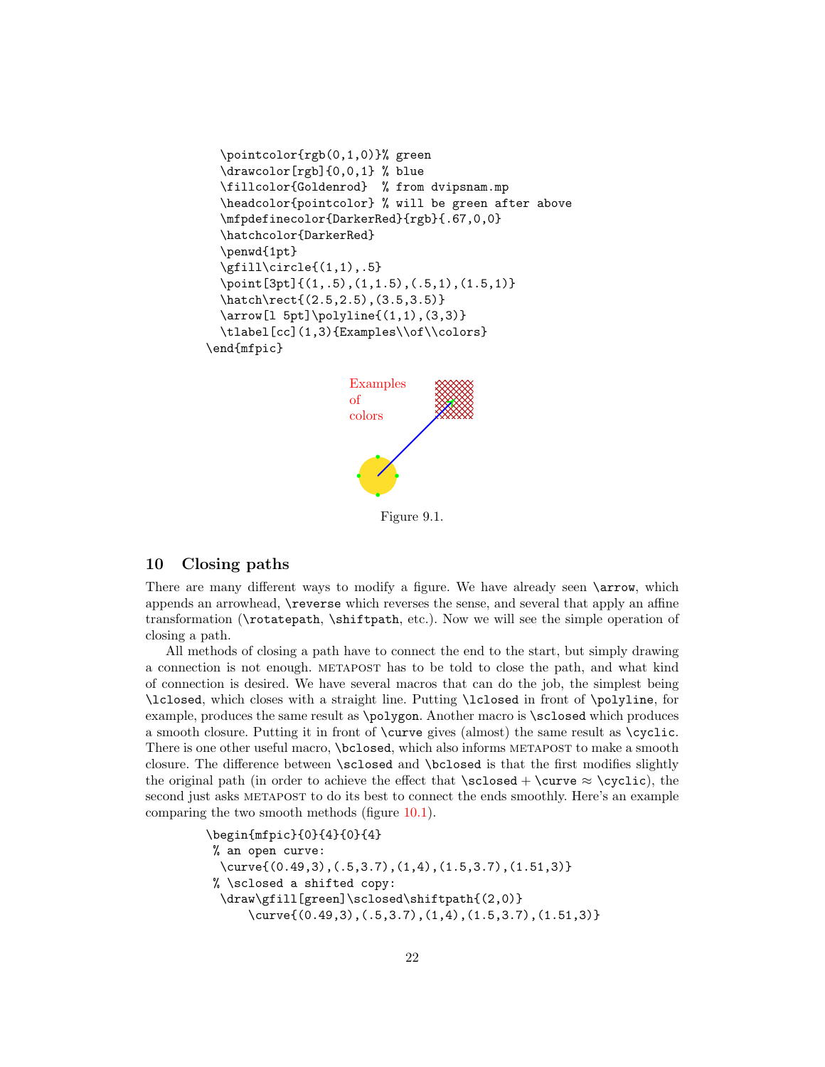```
\pointcolor{rgb(0,1,0)}% green
 \drawcolor[rgb]{0,0,1} % blue
 \fillcolor{Goldenrod} % from dvipsnam.mp
 \headcolor{pointcolor} % will be green after above
 \mfpdefinecolor{DarkerRed}{rgb}{.67,0,0}
 \hatchcolor{DarkerRed}
 \penwd{1pt}
 \gtrsimfill\circircle\{(1,1), .5\}\point[3pt]{(1,.5),(1,1.5),(.5,1),(1.5,1)}
 \hatch\rect{(2.5,2.5),(3.5,3.5)}
 \arrow[l 5pt]\polyline{(1,1),(3,3)}
 \tlabel[cc](1,3){Examples\\of\\colors}
\end{mfpic}
```


Figure 9.1.

## <span id="page-22-1"></span><span id="page-22-0"></span>10 Closing paths

There are many different ways to modify a figure. We have already seen **\arrow**, which appends an arrowhead, \reverse which reverses the sense, and several that apply an affine transformation (\rotatepath, \shiftpath, etc.). Now we will see the simple operation of closing a path.

All methods of closing a path have to connect the end to the start, but simply drawing a connection is not enough. metapost has to be told to close the path, and what kind of connection is desired. We have several macros that can do the job, the simplest being \lclosed, which closes with a straight line. Putting \lclosed in front of \polyline, for example, produces the same result as \polygon. Another macro is \sclosed which produces a smooth closure. Putting it in front of \curve gives (almost) the same result as \cyclic. There is one other useful macro, *\bclosed*, which also informs METAPOST to make a smooth closure. The difference between \sclosed and \bclosed is that the first modifies slightly the original path (in order to achieve the effect that  $\s$ curve  $\approx \cyclic$ ), the second just asks METAPOST to do its best to connect the ends smoothly. Here's an example comparing the two smooth methods (figure [10.1\)](#page-23-2).

```
\begin{mfpic}{0}{4}{0}{4}
% an open curve:
  \curve{(0.49,3),(.5,3.7),(1,4),(1.5,3.7),(1.51,3)}
% \sclosed a shifted copy:
  \draw\gfill[green]\sclosed\shiftpath{(2,0)}
      \curve{(0.49,3),(.5,3.7),(1,4),(1.5,3.7),(1.51,3)}
```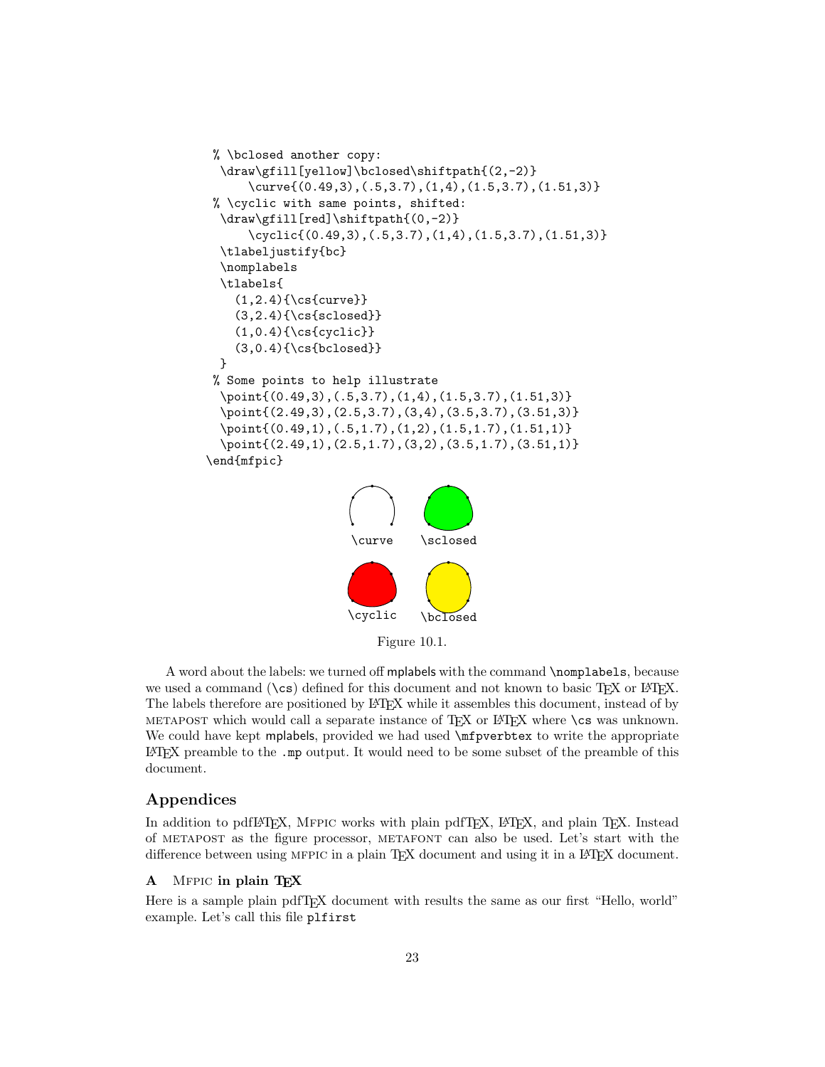```
% \bclosed another copy:
 \draw\gfill[yellow]\bclosed\shiftpath{(2,-2)}
      \curve{(0.49,3),(.5,3.7),(1,4),(1.5,3.7),(1.51,3)}
% \cyclic with same points, shifted:
 \draw\gfill[red]\shiftpath{(0,-2)}
      \cyclic{(0.49,3),(.5,3.7),(1,4),(1.5,3.7),(1.51,3)}
 \tlabeljustify{bc}
 \nomplabels
 \tlabels{
    (1, 2.4){\cs{curve}}
    (3,2.4){\cs{sclosed}}
    (1,0.4){\cs{cyclic}}
    (3,0.4){\cs{bclosed}}
 }
% Some points to help illustrate
 \point{(0.49,3),(.5,3.7),(1,4),(1.5,3.7),(1.51,3)}
 \point{(2.49,3),(2.5,3.7),(3,4),(3.5,3.7),(3.51,3)}
 \point{(0.49,1),(.5,1.7),(1,2),(1.5,1.7),(1.51,1)}
 \point{(2.49,1),(2.5,1.7),(3,2),(3.5,1.7),(3.51,1)}
\end{mfpic}
                     \curve \sclosed
```


Figure 10.1.

<span id="page-23-2"></span>A word about the labels: we turned off mplabels with the command \nomplabels, because we used a command  $(\csc)$  defined for this document and not known to basic T<sub>EX</sub> or LAT<sub>EX</sub>. The labels therefore are positioned by LATEX while it assembles this document, instead of by METAPOST which would call a separate instance of  $TFX$  or  $BTFX$  where  $\cos$  was unknown. We could have kept mplabels, provided we had used  $\mathcal{L}$  is the write the appropriate LATEX preamble to the .mp output. It would need to be some subset of the preamble of this document.

## <span id="page-23-0"></span>Appendices

In addition to pdfIATEX, MFPIC works with plain pdfTEX, IATEX, and plain TEX. Instead of metapost as the figure processor, metafont can also be used. Let's start with the difference between using MFPIC in a plain TFX document and using it in a LATFX document.

### <span id="page-23-1"></span>A MFPIC in plain TEX

Here is a sample plain pdfTEX document with results the same as our first "Hello, world" example. Let's call this file plfirst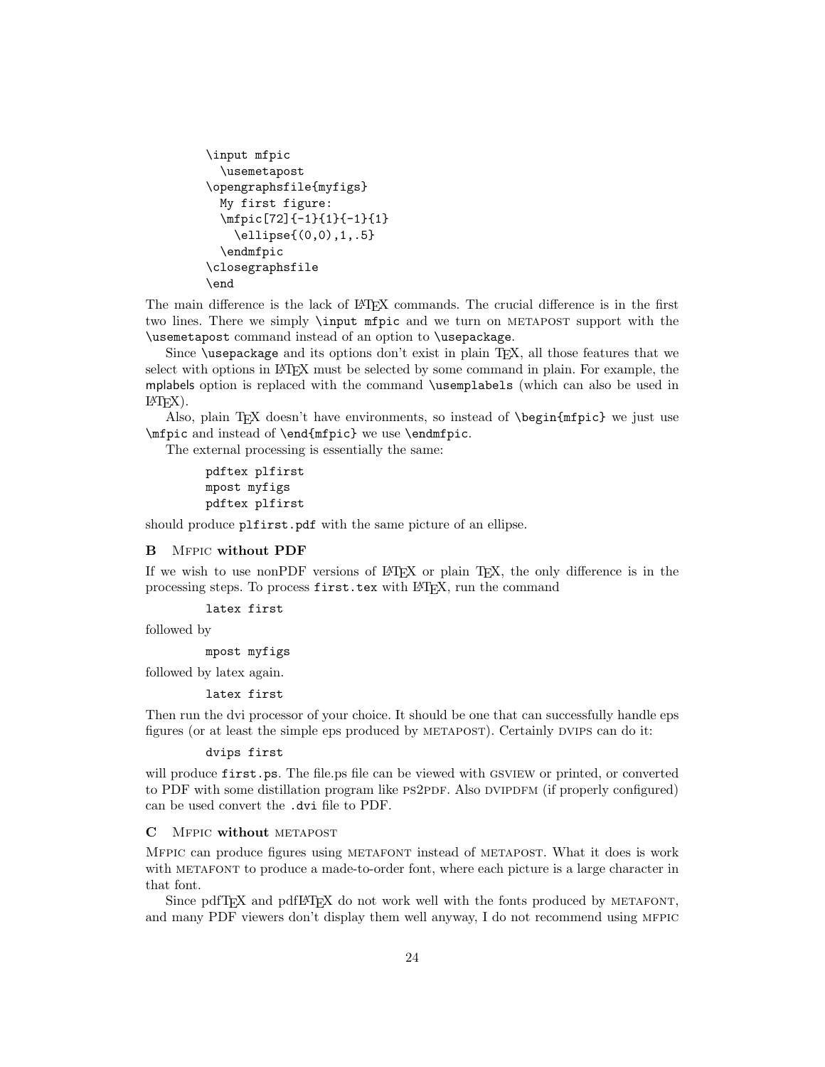```
\input mfpic
  \usemetapost
\opengraphsfile{myfigs}
 My first figure:
 \mfpic[72]{-1}{1}{-1}{1}
    \ellipse{(0,0),1,.5}
 \endmfpic
\closegraphsfile
\end
```
The main difference is the lack of LATEX commands. The crucial difference is in the first two lines. There we simply **\input mfpic** and we turn on METAPOST support with the \usemetapost command instead of an option to \usepackage.

Since \usepackage and its options don't exist in plain TEX, all those features that we select with options in LATEX must be selected by some command in plain. For example, the mplabels option is replaced with the command \usemplabels (which can also be used in  $\text{LATF}(\text{X})$ .

Also, plain TEX doesn't have environments, so instead of \begin{mfpic} we just use \mfpic and instead of \end{mfpic} we use \endmfpic.

The external processing is essentially the same:

```
pdftex plfirst
mpost myfigs
pdftex plfirst
```
should produce plfirst.pdf with the same picture of an ellipse.

#### <span id="page-24-0"></span>B Mfpic without PDF

If we wish to use nonPDF versions of LATEX or plain TEX, the only difference is in the processing steps. To process first.tex with LATEX, run the command

```
latex first
```
followed by

### mpost myfigs

followed by latex again.

#### latex first

Then run the dvi processor of your choice. It should be one that can successfully handle eps figures (or at least the simple eps produced by metapost). Certainly dvips can do it:

#### dvips first

will produce first.ps. The file.ps file can be viewed with GSVIEW or printed, or converted to PDF with some distillation program like PS2PDF. Also DVIPDFM (if properly configured) can be used convert the .dvi file to PDF.

#### <span id="page-24-1"></span>C Mfpic without metapost

Mfpic can produce figures using metafont instead of metapost. What it does is work with METAFONT to produce a made-to-order font, where each picture is a large character in that font.

Since pdfT<sub>EX</sub> and pdfL<sub>H</sub><sub>EX</sub> do not work well with the fonts produced by METAFONT, and many PDF viewers don't display them well anyway, I do not recommend using MFPIC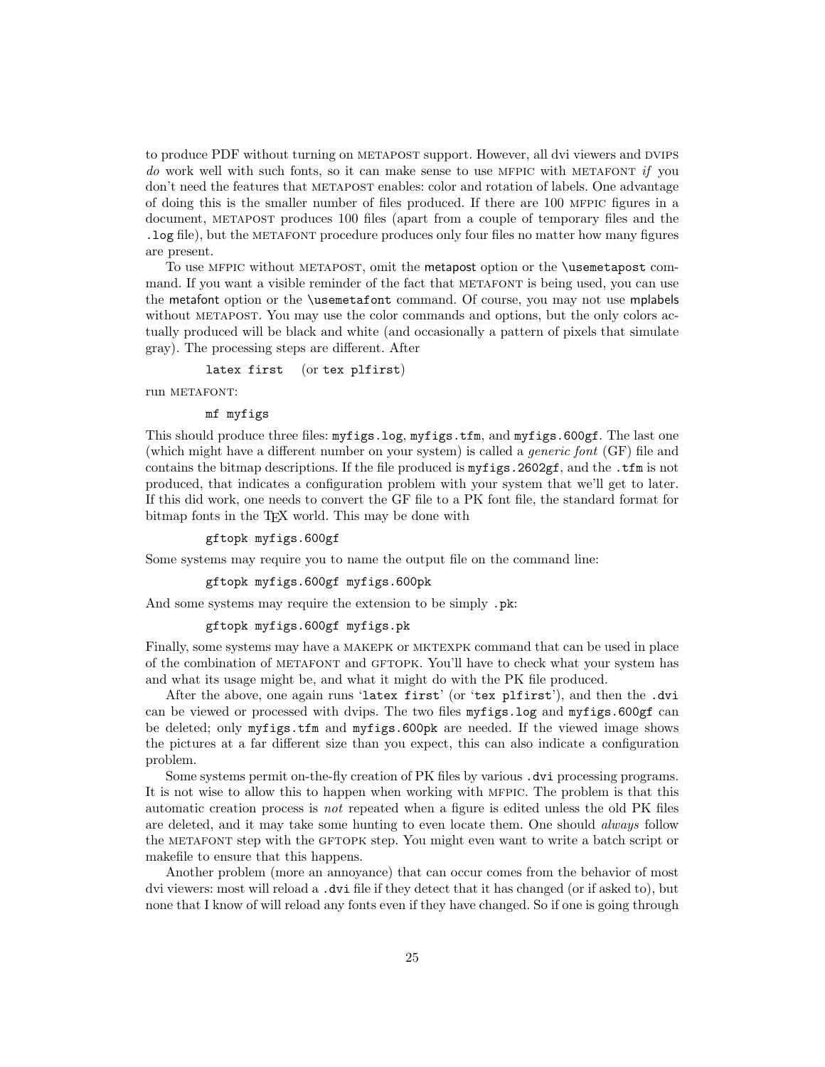to produce PDF without turning on METAPOST support. However, all dvi viewers and DVIPS do work well with such fonts, so it can make sense to use MFPIC with METAFONT if you don't need the features that METAPOST enables: color and rotation of labels. One advantage of doing this is the smaller number of files produced. If there are 100 mfpic figures in a document, metapost produces 100 files (apart from a couple of temporary files and the .log file), but the metafont procedure produces only four files no matter how many figures are present.

To use mfpic without metapost, omit the metapost option or the \usemetapost command. If you want a visible reminder of the fact that METAFONT is being used, you can use the metafont option or the \usemetafont command. Of course, you may not use mplabels without METAPOST. You may use the color commands and options, but the only colors actually produced will be black and white (and occasionally a pattern of pixels that simulate gray). The processing steps are different. After

latex first (or tex plfirst)

run METAFONT:

#### mf myfigs

This should produce three files: myfigs.log, myfigs.tfm, and myfigs.600gf. The last one (which might have a different number on your system) is called a generic font (GF) file and contains the bitmap descriptions. If the file produced is myfigs.2602gf, and the .tfm is not produced, that indicates a configuration problem with your system that we'll get to later. If this did work, one needs to convert the GF file to a PK font file, the standard format for bitmap fonts in the TEX world. This may be done with

#### gftopk myfigs.600gf

Some systems may require you to name the output file on the command line:

gftopk myfigs.600gf myfigs.600pk

And some systems may require the extension to be simply .pk:

#### gftopk myfigs.600gf myfigs.pk

Finally, some systems may have a makepk or mktexpk command that can be used in place of the combination of metafont and gftopk. You'll have to check what your system has and what its usage might be, and what it might do with the PK file produced.

After the above, one again runs 'latex first' (or 'tex plfirst'), and then the .dvi can be viewed or processed with dvips. The two files myfigs.log and myfigs.600gf can be deleted; only myfigs.tfm and myfigs.600pk are needed. If the viewed image shows the pictures at a far different size than you expect, this can also indicate a configuration problem.

Some systems permit on-the-fly creation of PK files by various .dvi processing programs. It is not wise to allow this to happen when working with mfpic. The problem is that this automatic creation process is not repeated when a figure is edited unless the old PK files are deleted, and it may take some hunting to even locate them. One should always follow the METAFONT step with the GFTOPK step. You might even want to write a batch script or makefile to ensure that this happens.

Another problem (more an annoyance) that can occur comes from the behavior of most dvi viewers: most will reload a .dvi file if they detect that it has changed (or if asked to), but none that I know of will reload any fonts even if they have changed. So if one is going through